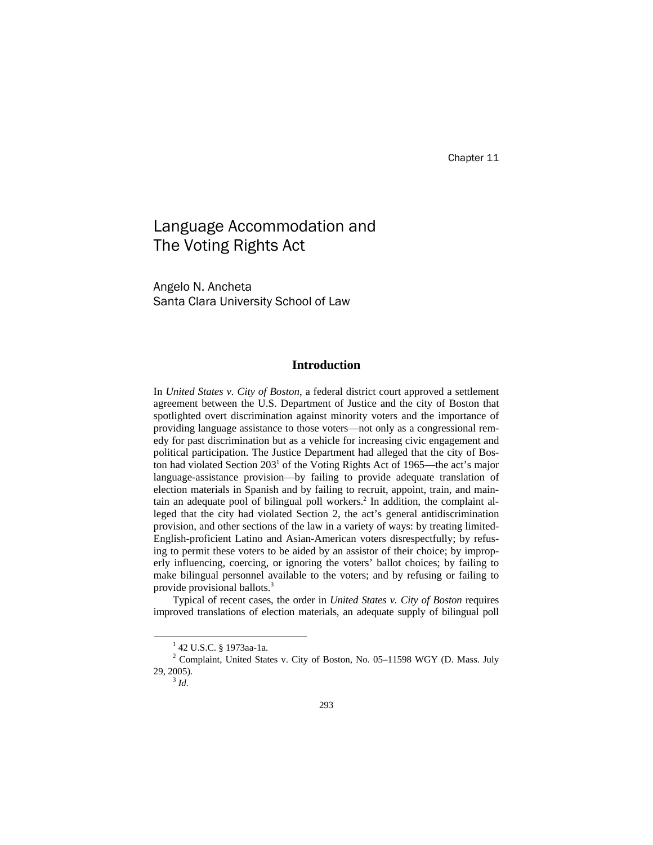# Language Accommodation and The Voting Rights Act

Angelo N. Ancheta Santa Clara University School of Law

# **Introduction**

In *United States v. City of Boston*, a federal district court approved a settlement agreement between the U.S. Department of Justice and the city of Boston that spotlighted overt discrimination against minority voters and the importance of providing language assistance to those voters—not only as a congressional remedy for past discrimination but as a vehicle for increasing civic engagement and political participation. The Justice Department had alleged that the city of Boston had violated Section 203<sup>1</sup> of the Voting Rights Act of 1965—the act's major language-assistance provision—by failing to provide adequate translation of election materials in Spanish and by failing to recruit, appoint, train, and maintain an adequate pool of bilingual poll workers.<sup>2</sup> In addition, the complaint alleged that the city had violated Section 2, the act's general antidiscrimination provision, and other sections of the law in a variety of ways: by treating limited-English-proficient Latino and Asian-American voters disrespectfully; by refusing to permit these voters to be aided by an assistor of their choice; by improperly influencing, coercing, or ignoring the voters' ballot choices; by failing to make bilingual personnel available to the voters; and by refusing or failing to provide provisional ballots.3

Typical of recent cases, the order in *United States v. City of Boston* requires improved translations of election materials, an adequate supply of bilingual poll

 $\overline{\phantom{a}}$ 42 U.S.C. § 1973aa-1a.

<sup>&</sup>lt;sup>2</sup> Complaint, United States v. City of Boston, No. 05-11598 WGY (D. Mass. July 29, 2005). 3 *Id.*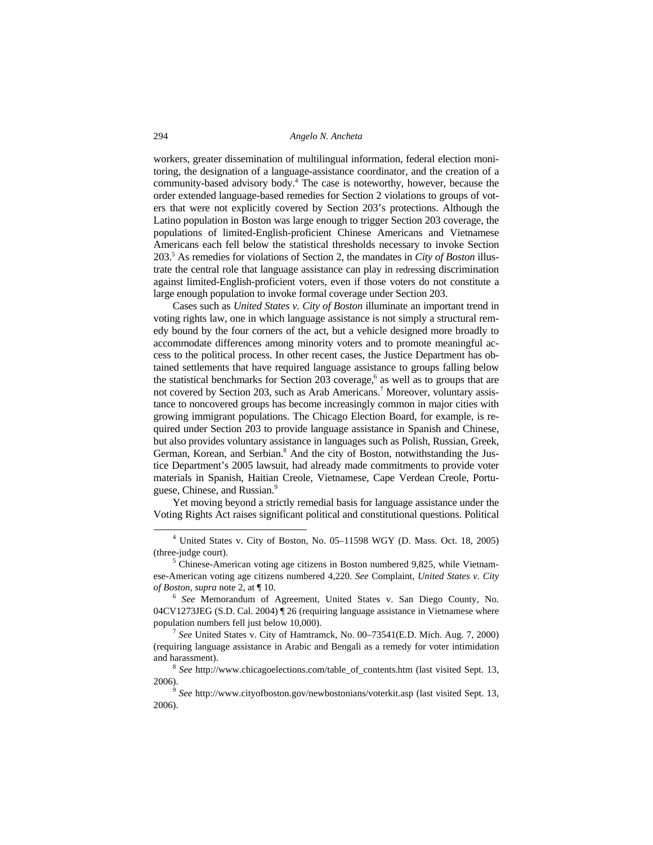workers, greater dissemination of multilingual information, federal election monitoring, the designation of a language-assistance coordinator, and the creation of a community-based advisory body.4 The case is noteworthy, however, because the order extended language-based remedies for Section 2 violations to groups of voters that were not explicitly covered by Section 203's protections. Although the Latino population in Boston was large enough to trigger Section 203 coverage, the populations of limited-English-proficient Chinese Americans and Vietnamese Americans each fell below the statistical thresholds necessary to invoke Section 203.5 As remedies for violations of Section 2, the mandates in *City of Boston* illustrate the central role that language assistance can play in redressing discrimination against limited-English-proficient voters, even if those voters do not constitute a large enough population to invoke formal coverage under Section 203.

Cases such as *United States v. City of Boston* illuminate an important trend in voting rights law, one in which language assistance is not simply a structural remedy bound by the four corners of the act, but a vehicle designed more broadly to accommodate differences among minority voters and to promote meaningful access to the political process. In other recent cases, the Justice Department has obtained settlements that have required language assistance to groups falling below the statistical benchmarks for Section  $203$  coverage,<sup>6</sup> as well as to groups that are not covered by Section 203, such as Arab Americans.<sup>7</sup> Moreover, voluntary assistance to noncovered groups has become increasingly common in major cities with growing immigrant populations. The Chicago Election Board, for example, is required under Section 203 to provide language assistance in Spanish and Chinese, but also provides voluntary assistance in languages such as Polish, Russian, Greek, German, Korean, and Serbian.<sup>8</sup> And the city of Boston, notwithstanding the Justice Department's 2005 lawsuit, had already made commitments to provide voter materials in Spanish, Haitian Creole, Vietnamese, Cape Verdean Creole, Portuguese, Chinese, and Russian.<sup>9</sup>

Yet moving beyond a strictly remedial basis for language assistance under the Voting Rights Act raises significant political and constitutional questions. Political

 $\frac{1}{4}$  United States v. City of Boston, No. 05–11598 WGY (D. Mass. Oct. 18, 2005) (three-judge court).

<sup>&</sup>lt;sup>5</sup> Chinese-American voting age citizens in Boston numbered 9,825, while Vietnamese-American voting age citizens numbered 4,220. *See* Complaint, *United States v. City of Boston*, *supra* note 2, at ¶ 10. 6 *See* Memorandum of Agreement, United States v. San Diego County, No.

<sup>04</sup>CV1273JEG (S.D. Cal. 2004) ¶ 26 (requiring language assistance in Vietnamese where population numbers fell just below 10,000). 7 *See* United States v. City of Hamtramck, No. 00–73541(E.D. Mich. Aug. 7, 2000)

<sup>(</sup>requiring language assistance in Arabic and Bengali as a remedy for voter intimidation and harassment).<br><sup>8</sup> *See* http://www.chicagoelections.com/table\_of\_contents.htm (last visited Sept. 13,

<sup>2006).</sup>

<sup>9</sup> *See* http://www.cityofboston.gov/newbostonians/voterkit.asp (last visited Sept. 13, 2006).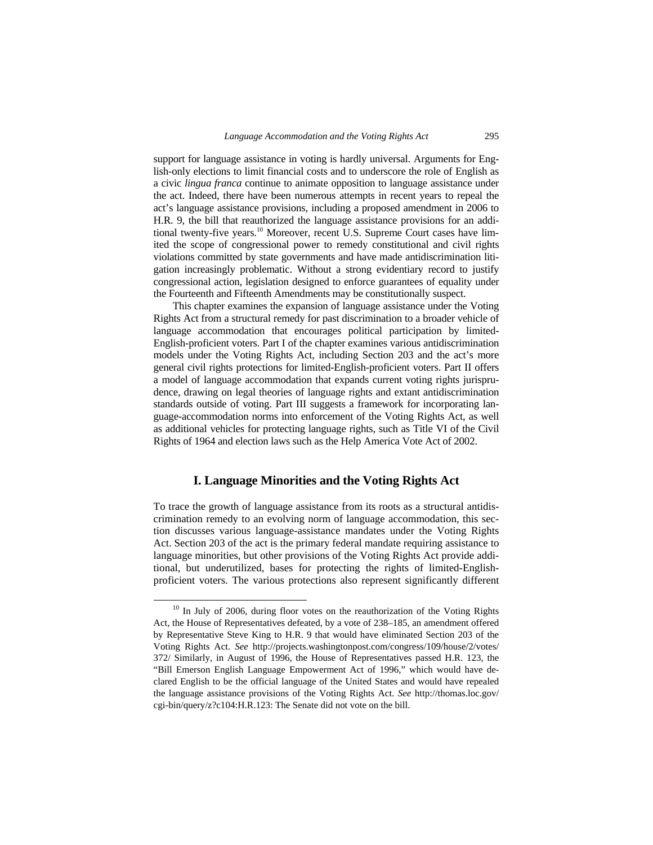support for language assistance in voting is hardly universal. Arguments for English-only elections to limit financial costs and to underscore the role of English as a civic *lingua franca* continue to animate opposition to language assistance under the act. Indeed, there have been numerous attempts in recent years to repeal the act's language assistance provisions, including a proposed amendment in 2006 to H.R. 9, the bill that reauthorized the language assistance provisions for an additional twenty-five years.<sup>10</sup> Moreover, recent U.S. Supreme Court cases have limited the scope of congressional power to remedy constitutional and civil rights violations committed by state governments and have made antidiscrimination litigation increasingly problematic. Without a strong evidentiary record to justify congressional action, legislation designed to enforce guarantees of equality under the Fourteenth and Fifteenth Amendments may be constitutionally suspect.

This chapter examines the expansion of language assistance under the Voting Rights Act from a structural remedy for past discrimination to a broader vehicle of language accommodation that encourages political participation by limited-English-proficient voters. Part I of the chapter examines various antidiscrimination models under the Voting Rights Act, including Section 203 and the act's more general civil rights protections for limited-English-proficient voters. Part II offers a model of language accommodation that expands current voting rights jurisprudence, drawing on legal theories of language rights and extant antidiscrimination standards outside of voting. Part III suggests a framework for incorporating language-accommodation norms into enforcement of the Voting Rights Act, as well as additional vehicles for protecting language rights, such as Title VI of the Civil Rights of 1964 and election laws such as the Help America Vote Act of 2002.

# **I. Language Minorities and the Voting Rights Act**

To trace the growth of language assistance from its roots as a structural antidiscrimination remedy to an evolving norm of language accommodation, this section discusses various language-assistance mandates under the Voting Rights Act. Section 203 of the act is the primary federal mandate requiring assistance to language minorities, but other provisions of the Voting Rights Act provide additional, but underutilized, bases for protecting the rights of limited-Englishproficient voters. The various protections also represent significantly different

 $10$  In July of 2006, during floor votes on the reauthorization of the Voting Rights Act, the House of Representatives defeated, by a vote of 238–185, an amendment offered by Representative Steve King to H.R. 9 that would have eliminated Section 203 of the Voting Rights Act. *See* http://projects.washingtonpost.com/congress/109/house/2/votes/ 372/ Similarly, in August of 1996, the House of Representatives passed H.R. 123, the "Bill Emerson English Language Empowerment Act of 1996," which would have declared English to be the official language of the United States and would have repealed the language assistance provisions of the Voting Rights Act. *See* http://thomas.loc.gov/ cgi-bin/query/z?c104:H.R.123: The Senate did not vote on the bill.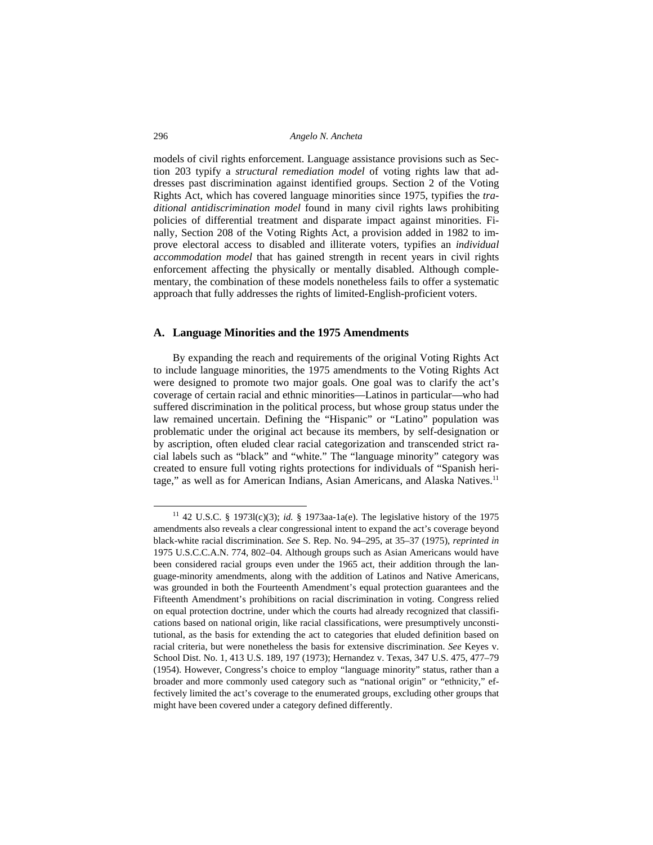models of civil rights enforcement. Language assistance provisions such as Section 203 typify a *structural remediation model* of voting rights law that addresses past discrimination against identified groups. Section 2 of the Voting Rights Act, which has covered language minorities since 1975, typifies the *traditional antidiscrimination model* found in many civil rights laws prohibiting policies of differential treatment and disparate impact against minorities. Finally, Section 208 of the Voting Rights Act, a provision added in 1982 to improve electoral access to disabled and illiterate voters, typifies an *individual accommodation model* that has gained strength in recent years in civil rights enforcement affecting the physically or mentally disabled. Although complementary, the combination of these models nonetheless fails to offer a systematic approach that fully addresses the rights of limited-English-proficient voters.

# **A. Language Minorities and the 1975 Amendments**

By expanding the reach and requirements of the original Voting Rights Act to include language minorities, the 1975 amendments to the Voting Rights Act were designed to promote two major goals. One goal was to clarify the act's coverage of certain racial and ethnic minorities—Latinos in particular—who had suffered discrimination in the political process, but whose group status under the law remained uncertain. Defining the "Hispanic" or "Latino" population was problematic under the original act because its members, by self-designation or by ascription, often eluded clear racial categorization and transcended strict racial labels such as "black" and "white." The "language minority" category was created to ensure full voting rights protections for individuals of "Spanish heritage," as well as for American Indians, Asian Americans, and Alaska Natives.<sup>11</sup>

 <sup>11 42</sup> U.S.C. § 1973l(c)(3); *id.* § 1973aa-1a(e). The legislative history of the 1975 amendments also reveals a clear congressional intent to expand the act's coverage beyond black-white racial discrimination. *See* S. Rep. No. 94–295, at 35–37 (1975), *reprinted in* 1975 U.S.C.C.A.N. 774, 802–04. Although groups such as Asian Americans would have been considered racial groups even under the 1965 act, their addition through the language-minority amendments, along with the addition of Latinos and Native Americans, was grounded in both the Fourteenth Amendment's equal protection guarantees and the Fifteenth Amendment's prohibitions on racial discrimination in voting. Congress relied on equal protection doctrine, under which the courts had already recognized that classifications based on national origin, like racial classifications, were presumptively unconstitutional, as the basis for extending the act to categories that eluded definition based on racial criteria, but were nonetheless the basis for extensive discrimination. *See* Keyes v. School Dist. No. 1, 413 U.S. 189, 197 (1973); Hernandez v. Texas, 347 U.S. 475, 477–79 (1954). However, Congress's choice to employ "language minority" status, rather than a broader and more commonly used category such as "national origin" or "ethnicity," effectively limited the act's coverage to the enumerated groups, excluding other groups that might have been covered under a category defined differently.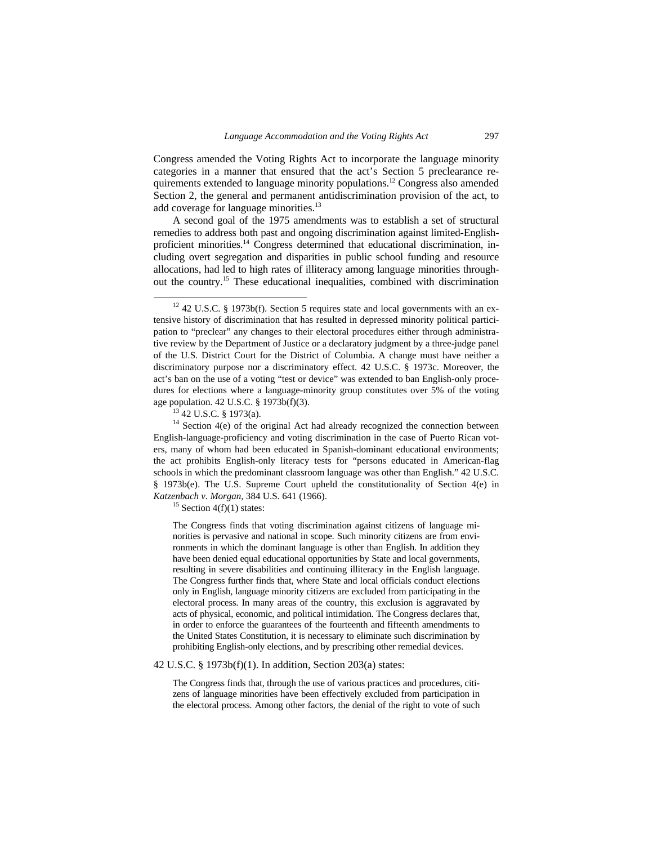Congress amended the Voting Rights Act to incorporate the language minority categories in a manner that ensured that the act's Section 5 preclearance requirements extended to language minority populations.12 Congress also amended Section 2, the general and permanent antidiscrimination provision of the act, to add coverage for language minorities.<sup>13</sup>

A second goal of the 1975 amendments was to establish a set of structural remedies to address both past and ongoing discrimination against limited-Englishproficient minorities.14 Congress determined that educational discrimination, including overt segregation and disparities in public school funding and resource allocations, had led to high rates of illiteracy among language minorities throughout the country.15 These educational inequalities, combined with discrimination

The Congress finds that voting discrimination against citizens of language minorities is pervasive and national in scope. Such minority citizens are from environments in which the dominant language is other than English. In addition they have been denied equal educational opportunities by State and local governments, resulting in severe disabilities and continuing illiteracy in the English language. The Congress further finds that, where State and local officials conduct elections only in English, language minority citizens are excluded from participating in the electoral process. In many areas of the country, this exclusion is aggravated by acts of physical, economic, and political intimidation. The Congress declares that, in order to enforce the guarantees of the fourteenth and fifteenth amendments to the United States Constitution, it is necessary to eliminate such discrimination by prohibiting English-only elections, and by prescribing other remedial devices.

#### 42 U.S.C. § 1973b(f)(1). In addition, Section 203(a) states:

The Congress finds that, through the use of various practices and procedures, citizens of language minorities have been effectively excluded from participation in the electoral process. Among other factors, the denial of the right to vote of such

 $12$  42 U.S.C. § 1973b(f). Section 5 requires state and local governments with an extensive history of discrimination that has resulted in depressed minority political participation to "preclear" any changes to their electoral procedures either through administrative review by the Department of Justice or a declaratory judgment by a three-judge panel of the U.S. District Court for the District of Columbia. A change must have neither a discriminatory purpose nor a discriminatory effect. 42 U.S.C. § 1973c. Moreover, the act's ban on the use of a voting "test or device" was extended to ban English-only procedures for elections where a language-minority group constitutes over 5% of the voting age population. 42 U.S.C. § 1973b(f)(3).<br><sup>13</sup> 42 U.S.C. § 1973(a).

 $14$  Section 4(e) of the original Act had already recognized the connection between English-language-proficiency and voting discrimination in the case of Puerto Rican voters, many of whom had been educated in Spanish-dominant educational environments; the act prohibits English-only literacy tests for "persons educated in American-flag schools in which the predominant classroom language was other than English." 42 U.S.C. § 1973b(e). The U.S. Supreme Court upheld the constitutionality of Section 4(e) in *Katzenbach v. Morgan*, 384 U.S. 641 (1966).<br><sup>15</sup> Section 4(f)(1) states: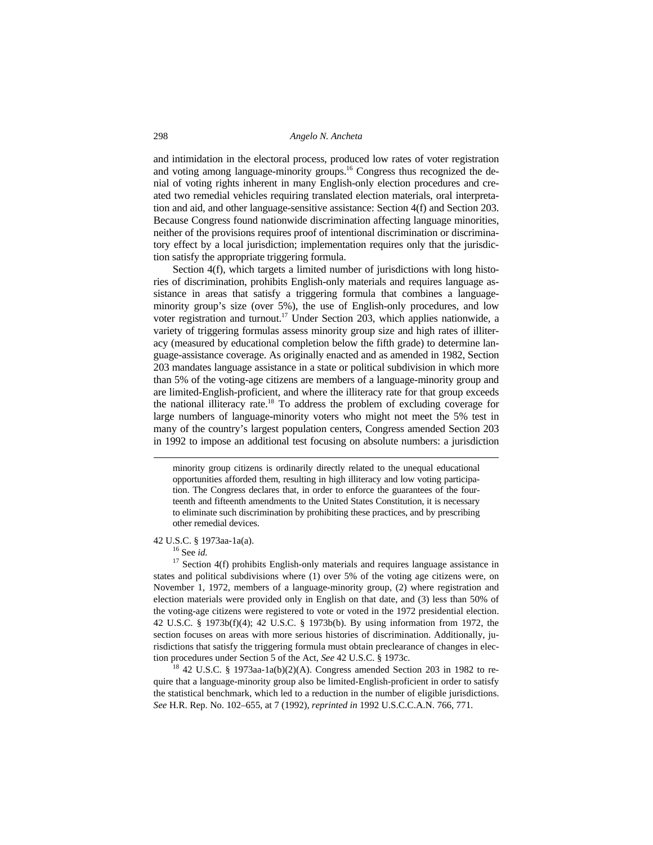and intimidation in the electoral process, produced low rates of voter registration and voting among language-minority groups.16 Congress thus recognized the denial of voting rights inherent in many English-only election procedures and created two remedial vehicles requiring translated election materials, oral interpretation and aid, and other language-sensitive assistance: Section 4(f) and Section 203. Because Congress found nationwide discrimination affecting language minorities, neither of the provisions requires proof of intentional discrimination or discriminatory effect by a local jurisdiction; implementation requires only that the jurisdiction satisfy the appropriate triggering formula.

Section 4(f), which targets a limited number of jurisdictions with long histories of discrimination, prohibits English-only materials and requires language assistance in areas that satisfy a triggering formula that combines a languageminority group's size (over 5%), the use of English-only procedures, and low voter registration and turnout.<sup>17</sup> Under Section 203, which applies nationwide, a variety of triggering formulas assess minority group size and high rates of illiteracy (measured by educational completion below the fifth grade) to determine language-assistance coverage. As originally enacted and as amended in 1982, Section 203 mandates language assistance in a state or political subdivision in which more than 5% of the voting-age citizens are members of a language-minority group and are limited-English-proficient, and where the illiteracy rate for that group exceeds the national illiteracy rate.18 To address the problem of excluding coverage for large numbers of language-minority voters who might not meet the 5% test in many of the country's largest population centers, Congress amended Section 203 in 1992 to impose an additional test focusing on absolute numbers: a jurisdiction

minority group citizens is ordinarily directly related to the unequal educational opportunities afforded them, resulting in high illiteracy and low voting participation. The Congress declares that, in order to enforce the guarantees of the fourteenth and fifteenth amendments to the United States Constitution, it is necessary to eliminate such discrimination by prohibiting these practices, and by prescribing other remedial devices.

42 U.S.C. § 1973aa-1a(a). 16 See *id.*

 $\overline{\phantom{a}}$ 

 $17$  Section 4(f) prohibits English-only materials and requires language assistance in states and political subdivisions where (1) over 5% of the voting age citizens were, on November 1, 1972, members of a language-minority group, (2) where registration and election materials were provided only in English on that date, and (3) less than 50% of the voting-age citizens were registered to vote or voted in the 1972 presidential election. 42 U.S.C. § 1973b(f)(4); 42 U.S.C. § 1973b(b). By using information from 1972, the section focuses on areas with more serious histories of discrimination. Additionally, jurisdictions that satisfy the triggering formula must obtain preclearance of changes in election procedures under Section 5 of the Act, *See* 42 U.S.C. § 1973c.<br><sup>18</sup> 42 U.S.C. § 1973aa-1a(b)(2)(A). Congress amended Section 203 in 1982 to re-

quire that a language-minority group also be limited-English-proficient in order to satisfy the statistical benchmark, which led to a reduction in the number of eligible jurisdictions. *See* H.R. Rep. No. 102–655, at 7 (1992), *reprinted in* 1992 U.S.C.C.A.N. 766, 771.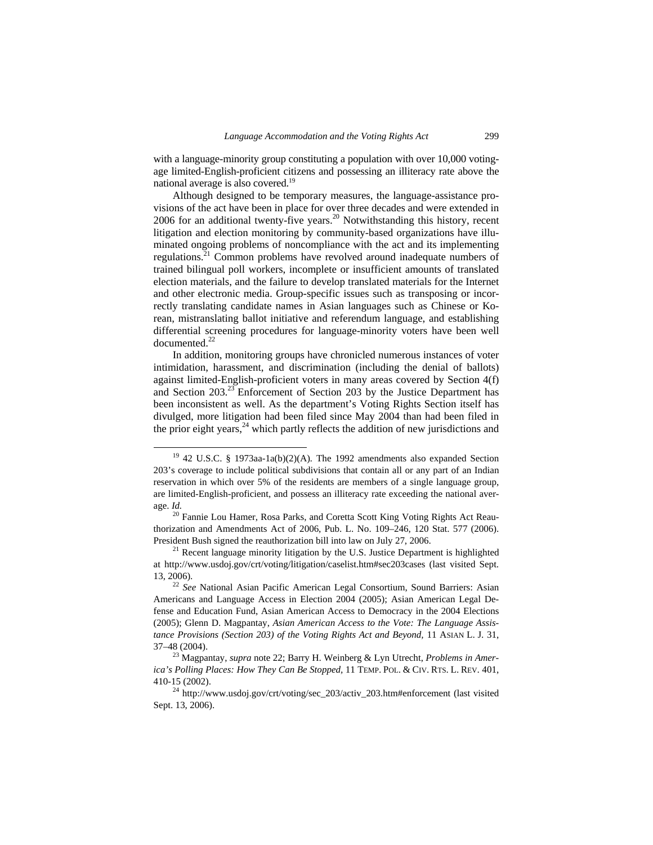with a language-minority group constituting a population with over 10,000 votingage limited-English-proficient citizens and possessing an illiteracy rate above the national average is also covered.19

Although designed to be temporary measures, the language-assistance provisions of the act have been in place for over three decades and were extended in 2006 for an additional twenty-five years.20 Notwithstanding this history, recent litigation and election monitoring by community-based organizations have illuminated ongoing problems of noncompliance with the act and its implementing regulations.<sup>21</sup> Common problems have revolved around inadequate numbers of trained bilingual poll workers, incomplete or insufficient amounts of translated election materials, and the failure to develop translated materials for the Internet and other electronic media. Group-specific issues such as transposing or incorrectly translating candidate names in Asian languages such as Chinese or Korean, mistranslating ballot initiative and referendum language, and establishing differential screening procedures for language-minority voters have been well documented.<sup>22</sup>

In addition, monitoring groups have chronicled numerous instances of voter intimidation, harassment, and discrimination (including the denial of ballots) against limited-English-proficient voters in many areas covered by Section 4(f) and Section 203.23 Enforcement of Section 203 by the Justice Department has been inconsistent as well. As the department's Voting Rights Section itself has divulged, more litigation had been filed since May 2004 than had been filed in the prior eight years, $^{24}$  which partly reflects the addition of new jurisdictions and

 <sup>19 42</sup> U.S.C. § 1973aa-1a(b)(2)(A)*.* The 1992 amendments also expanded Section 203's coverage to include political subdivisions that contain all or any part of an Indian reservation in which over 5% of the residents are members of a single language group, are limited-English-proficient, and possess an illiteracy rate exceeding the national average. *Id.* <sup>20</sup> Fannie Lou Hamer, Rosa Parks, and Coretta Scott King Voting Rights Act Reau-

thorization and Amendments Act of 2006, Pub. L. No. 109–246, 120 Stat. 577 (2006). President Bush signed the reauthorization bill into law on July 27, 2006.<br><sup>21</sup> Recent language minority litigation by the U.S. Justice Department is highlighted

at http://www.usdoj.gov/crt/voting/litigation/caselist.htm#sec203cases (last visited Sept. 13, 2006). 22 *See* National Asian Pacific American Legal Consortium, Sound Barriers: Asian

Americans and Language Access in Election 2004 (2005); Asian American Legal Defense and Education Fund, Asian American Access to Democracy in the 2004 Elections (2005); Glenn D. Magpantay, *Asian American Access to the Vote: The Language Assistance Provisions (Section 203) of the Voting Rights Act and Beyond,* 11 ASIAN L. J. 31, 37–48 (2004). 23 Magpantay, *supra* note 22; Barry H. Weinberg & Lyn Utrecht, *Problems in Amer-*

*ica's Polling Places: How They Can Be Stopped,* 11 TEMP. POL. & CIV. RTS. L. REV. 401, 410-15 (2002). 24 http://www.usdoj.gov/crt/voting/sec\_203/activ\_203.htm#enforcement (last visited

Sept. 13, 2006).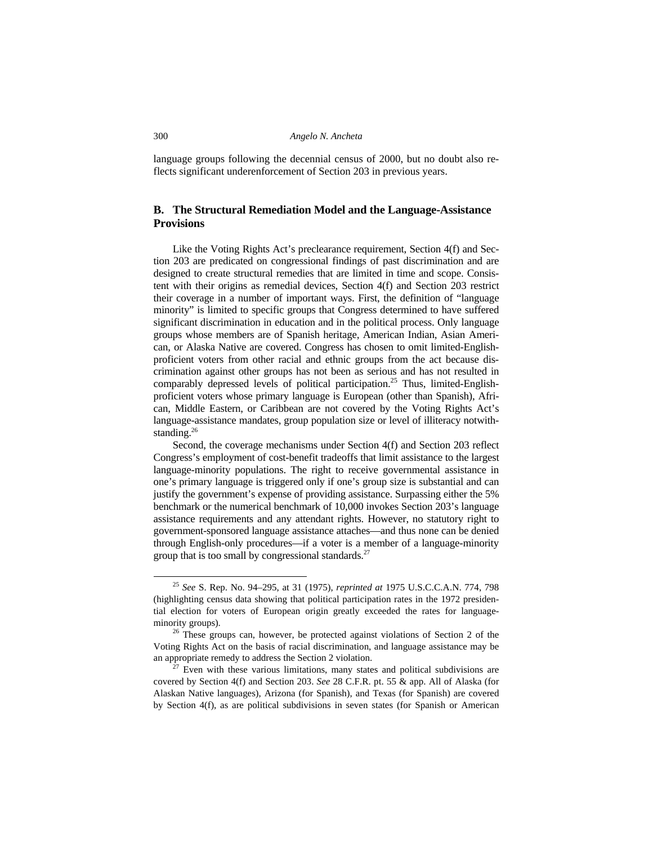language groups following the decennial census of 2000, but no doubt also reflects significant underenforcement of Section 203 in previous years.

# **B. The Structural Remediation Model and the Language-Assistance Provisions**

Like the Voting Rights Act's preclearance requirement, Section 4(f) and Section 203 are predicated on congressional findings of past discrimination and are designed to create structural remedies that are limited in time and scope. Consistent with their origins as remedial devices, Section 4(f) and Section 203 restrict their coverage in a number of important ways. First, the definition of "language minority" is limited to specific groups that Congress determined to have suffered significant discrimination in education and in the political process. Only language groups whose members are of Spanish heritage, American Indian, Asian American, or Alaska Native are covered. Congress has chosen to omit limited-Englishproficient voters from other racial and ethnic groups from the act because discrimination against other groups has not been as serious and has not resulted in comparably depressed levels of political participation.<sup>25</sup> Thus, limited-Englishproficient voters whose primary language is European (other than Spanish), African, Middle Eastern, or Caribbean are not covered by the Voting Rights Act's language-assistance mandates, group population size or level of illiteracy notwithstanding.<sup>26</sup>

Second, the coverage mechanisms under Section 4(f) and Section 203 reflect Congress's employment of cost-benefit tradeoffs that limit assistance to the largest language-minority populations. The right to receive governmental assistance in one's primary language is triggered only if one's group size is substantial and can justify the government's expense of providing assistance. Surpassing either the 5% benchmark or the numerical benchmark of 10,000 invokes Section 203's language assistance requirements and any attendant rights. However, no statutory right to government-sponsored language assistance attaches—and thus none can be denied through English-only procedures—if a voter is a member of a language-minority group that is too small by congressional standards. $27$ 

 <sup>25</sup> *See* S. Rep. No. 94–295, at 31 (1975), *reprinted at* 1975 U.S.C.C.A.N. 774, 798 (highlighting census data showing that political participation rates in the 1972 presidential election for voters of European origin greatly exceeded the rates for languageminority groups).  $26$  These groups can, however, be protected against violations of Section 2 of the

Voting Rights Act on the basis of racial discrimination, and language assistance may be an appropriate remedy to address the Section 2 violation.<br><sup>27</sup> Even with these various limitations, many states and political subdivisions are

covered by Section 4(f) and Section 203. *See* 28 C.F.R. pt. 55 & app. All of Alaska (for Alaskan Native languages), Arizona (for Spanish), and Texas (for Spanish) are covered by Section 4(f), as are political subdivisions in seven states (for Spanish or American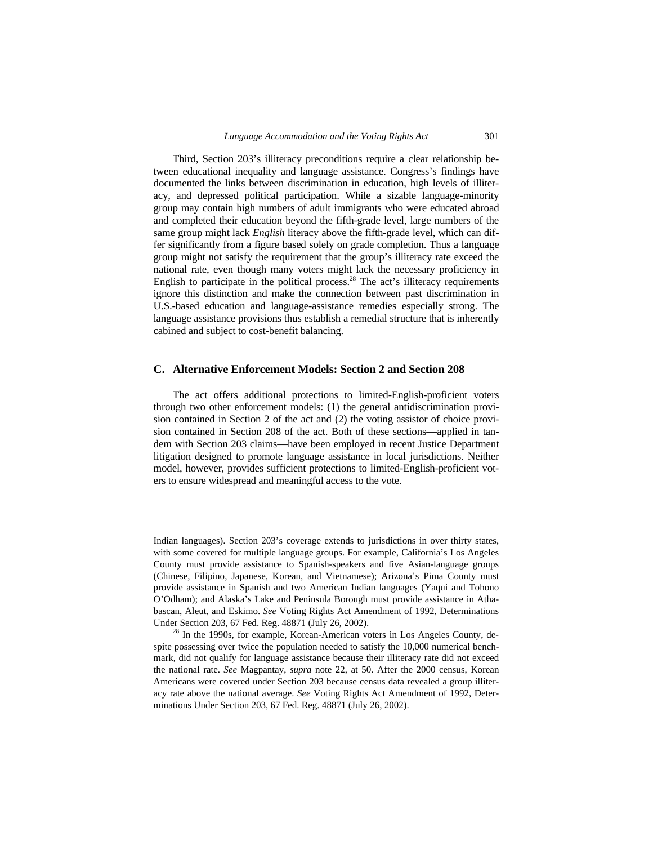Third, Section 203's illiteracy preconditions require a clear relationship between educational inequality and language assistance. Congress's findings have documented the links between discrimination in education, high levels of illiteracy, and depressed political participation. While a sizable language-minority group may contain high numbers of adult immigrants who were educated abroad and completed their education beyond the fifth-grade level, large numbers of the same group might lack *English* literacy above the fifth-grade level, which can differ significantly from a figure based solely on grade completion. Thus a language group might not satisfy the requirement that the group's illiteracy rate exceed the national rate, even though many voters might lack the necessary proficiency in English to participate in the political process.<sup>28</sup> The act's illiteracy requirements ignore this distinction and make the connection between past discrimination in U.S.-based education and language-assistance remedies especially strong. The language assistance provisions thus establish a remedial structure that is inherently cabined and subject to cost-benefit balancing.

# **C. Alternative Enforcement Models: Section 2 and Section 208**

The act offers additional protections to limited-English-proficient voters through two other enforcement models: (1) the general antidiscrimination provision contained in Section 2 of the act and (2) the voting assistor of choice provision contained in Section 208 of the act. Both of these sections—applied in tandem with Section 203 claims—have been employed in recent Justice Department litigation designed to promote language assistance in local jurisdictions. Neither model, however, provides sufficient protections to limited-English-proficient voters to ensure widespread and meaningful access to the vote.

l

Indian languages). Section 203's coverage extends to jurisdictions in over thirty states, with some covered for multiple language groups. For example, California's Los Angeles County must provide assistance to Spanish-speakers and five Asian-language groups (Chinese, Filipino, Japanese, Korean, and Vietnamese); Arizona's Pima County must provide assistance in Spanish and two American Indian languages (Yaqui and Tohono O'Odham); and Alaska's Lake and Peninsula Borough must provide assistance in Athabascan, Aleut, and Eskimo. *See* Voting Rights Act Amendment of 1992, Determinations Under Section 203, 67 Fed. Reg. 48871 (July 26, 2002).<br><sup>28</sup> In the 1990s, for example, Korean-American voters in Los Angeles County, de-

spite possessing over twice the population needed to satisfy the 10,000 numerical benchmark, did not qualify for language assistance because their illiteracy rate did not exceed the national rate. *See* Magpantay, *supra* note 22, at 50. After the 2000 census, Korean Americans were covered under Section 203 because census data revealed a group illiteracy rate above the national average. *See* Voting Rights Act Amendment of 1992, Determinations Under Section 203, 67 Fed. Reg. 48871 (July 26, 2002).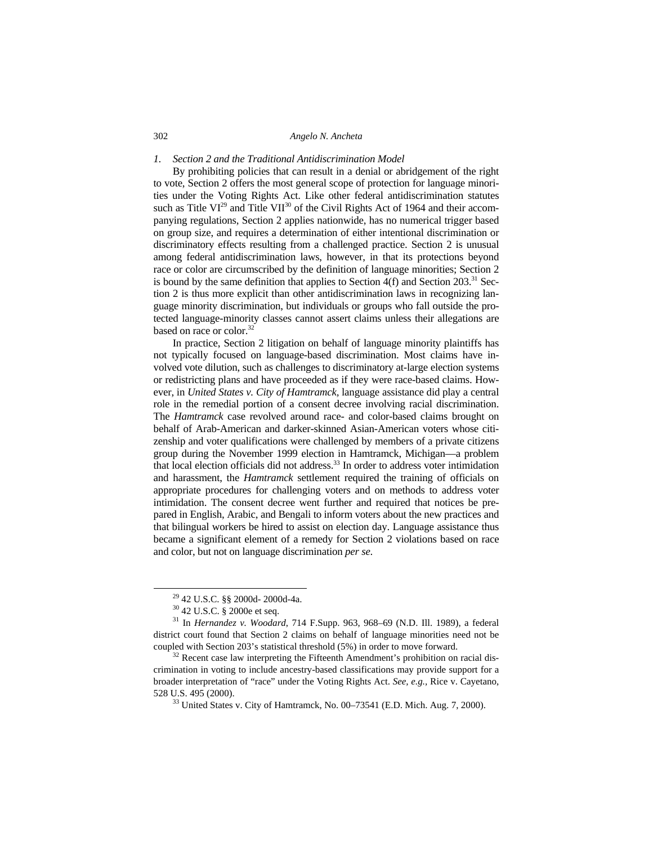# *1. Section 2 and the Traditional Antidiscrimination Model*

By prohibiting policies that can result in a denial or abridgement of the right to vote, Section 2 offers the most general scope of protection for language minorities under the Voting Rights Act. Like other federal antidiscrimination statutes such as Title  $VI^{29}$  and Title  $VII^{30}$  of the Civil Rights Act of 1964 and their accompanying regulations, Section 2 applies nationwide, has no numerical trigger based on group size, and requires a determination of either intentional discrimination or discriminatory effects resulting from a challenged practice. Section 2 is unusual among federal antidiscrimination laws, however, in that its protections beyond race or color are circumscribed by the definition of language minorities; Section 2 is bound by the same definition that applies to Section 4(f) and Section  $203<sup>31</sup>$  Section 2 is thus more explicit than other antidiscrimination laws in recognizing language minority discrimination, but individuals or groups who fall outside the protected language-minority classes cannot assert claims unless their allegations are based on race or color.<sup>32</sup>

In practice, Section 2 litigation on behalf of language minority plaintiffs has not typically focused on language-based discrimination. Most claims have involved vote dilution, such as challenges to discriminatory at-large election systems or redistricting plans and have proceeded as if they were race-based claims. However, in *United States v. City of Hamtramck,* language assistance did play a central role in the remedial portion of a consent decree involving racial discrimination. The *Hamtramck* case revolved around race- and color-based claims brought on behalf of Arab-American and darker-skinned Asian-American voters whose citizenship and voter qualifications were challenged by members of a private citizens group during the November 1999 election in Hamtramck, Michigan—a problem that local election officials did not address. $33$  In order to address voter intimidation and harassment, the *Hamtramck* settlement required the training of officials on appropriate procedures for challenging voters and on methods to address voter intimidation. The consent decree went further and required that notices be prepared in English, Arabic, and Bengali to inform voters about the new practices and that bilingual workers be hired to assist on election day. Language assistance thus became a significant element of a remedy for Section 2 violations based on race and color, but not on language discrimination *per se*.

 <sup>29 42</sup> U.S.C. §§ 2000d- 2000d-4a.

<sup>30 42</sup> U.S.C. § 2000e et seq.

<sup>31</sup> In *Hernandez v. Woodard*, 714 F.Supp. 963, 968–69 (N.D. Ill. 1989), a federal district court found that Section 2 claims on behalf of language minorities need not be

coupled with Section 203's statistical threshold (5%) in order to move forward. 32 Recent case law interpreting the Fifteenth Amendment's prohibition on racial discrimination in voting to include ancestry-based classifications may provide support for a broader interpretation of "race" under the Voting Rights Act. *See, e.g.,* Rice v. Cayetano, 528 U.S. 495 (2000).<br><sup>33</sup> United States v. City of Hamtramck, No. 00–73541 (E.D. Mich. Aug. 7, 2000).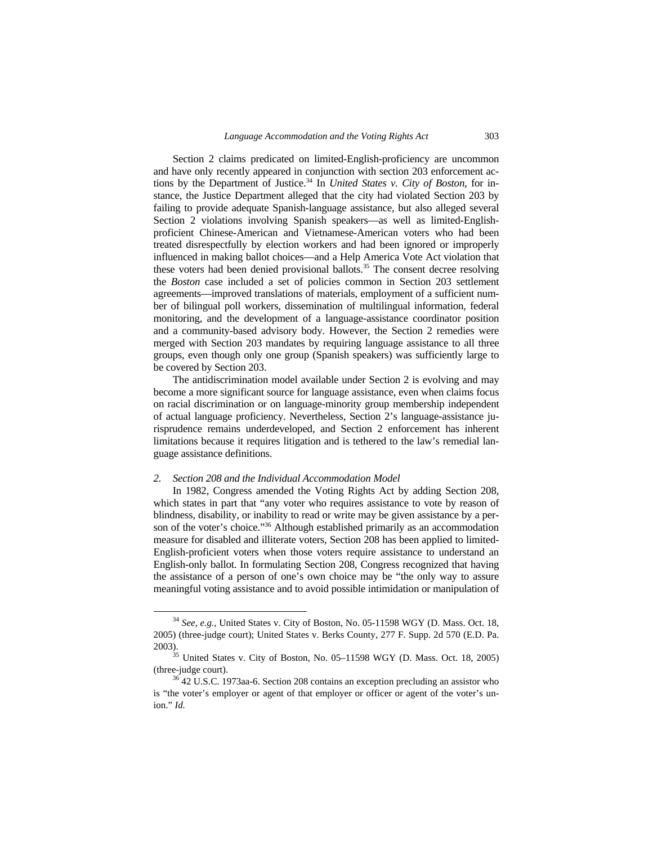Section 2 claims predicated on limited-English-proficiency are uncommon and have only recently appeared in conjunction with section 203 enforcement actions by the Department of Justice.<sup>34</sup> In *United States v. City of Boston*, for instance, the Justice Department alleged that the city had violated Section 203 by failing to provide adequate Spanish-language assistance, but also alleged several Section 2 violations involving Spanish speakers—as well as limited-Englishproficient Chinese-American and Vietnamese-American voters who had been treated disrespectfully by election workers and had been ignored or improperly influenced in making ballot choices—and a Help America Vote Act violation that these voters had been denied provisional ballots.<sup>35</sup> The consent decree resolving the *Boston* case included a set of policies common in Section 203 settlement agreements—improved translations of materials, employment of a sufficient number of bilingual poll workers, dissemination of multilingual information, federal monitoring, and the development of a language-assistance coordinator position and a community-based advisory body. However, the Section 2 remedies were merged with Section 203 mandates by requiring language assistance to all three groups, even though only one group (Spanish speakers) was sufficiently large to be covered by Section 203.

The antidiscrimination model available under Section 2 is evolving and may become a more significant source for language assistance, even when claims focus on racial discrimination or on language-minority group membership independent of actual language proficiency. Nevertheless, Section 2's language-assistance jurisprudence remains underdeveloped, and Section 2 enforcement has inherent limitations because it requires litigation and is tethered to the law's remedial language assistance definitions.

#### *2. Section 208 and the Individual Accommodation Model*

In 1982, Congress amended the Voting Rights Act by adding Section 208, which states in part that "any voter who requires assistance to vote by reason of blindness, disability, or inability to read or write may be given assistance by a person of the voter's choice."<sup>36</sup> Although established primarily as an accommodation measure for disabled and illiterate voters, Section 208 has been applied to limited-English-proficient voters when those voters require assistance to understand an English-only ballot. In formulating Section 208, Congress recognized that having the assistance of a person of one's own choice may be "the only way to assure meaningful voting assistance and to avoid possible intimidation or manipulation of

 <sup>34</sup> *See, e.g.,* United States v. City of Boston, No. 05-11598 WGY (D. Mass. Oct. 18, 2005) (three-judge court); United States v. Berks County, 277 F. Supp. 2d 570 (E.D. Pa.

<sup>2003).</sup>  $^{35}$  United States v. City of Boston, No. 05–11598 WGY (D. Mass. Oct. 18, 2005) (three-judge court).  $36\,42\,$  U.S.C. 1973aa-6. Section 208 contains an exception precluding an assistor who

is "the voter's employer or agent of that employer or officer or agent of the voter's union." *Id.*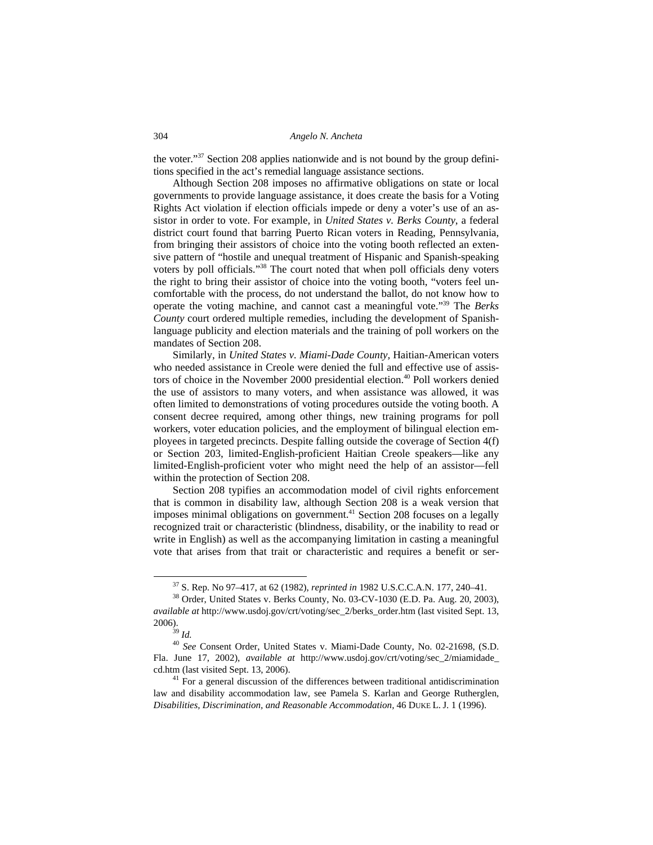the voter."37 Section 208 applies nationwide and is not bound by the group definitions specified in the act's remedial language assistance sections.

Although Section 208 imposes no affirmative obligations on state or local governments to provide language assistance, it does create the basis for a Voting Rights Act violation if election officials impede or deny a voter's use of an assistor in order to vote. For example, in *United States v. Berks County*, a federal district court found that barring Puerto Rican voters in Reading, Pennsylvania, from bringing their assistors of choice into the voting booth reflected an extensive pattern of "hostile and unequal treatment of Hispanic and Spanish-speaking voters by poll officials."<sup>38</sup> The court noted that when poll officials deny voters the right to bring their assistor of choice into the voting booth, "voters feel uncomfortable with the process, do not understand the ballot, do not know how to operate the voting machine, and cannot cast a meaningful vote."39 The *Berks County* court ordered multiple remedies, including the development of Spanishlanguage publicity and election materials and the training of poll workers on the mandates of Section 208.

Similarly, in *United States v. Miami-Dade County,* Haitian-American voters who needed assistance in Creole were denied the full and effective use of assistors of choice in the November 2000 presidential election.<sup>40</sup> Poll workers denied the use of assistors to many voters, and when assistance was allowed, it was often limited to demonstrations of voting procedures outside the voting booth. A consent decree required, among other things, new training programs for poll workers, voter education policies, and the employment of bilingual election employees in targeted precincts. Despite falling outside the coverage of Section 4(f) or Section 203, limited-English-proficient Haitian Creole speakers—like any limited-English-proficient voter who might need the help of an assistor—fell within the protection of Section 208.

Section 208 typifies an accommodation model of civil rights enforcement that is common in disability law, although Section 208 is a weak version that imposes minimal obligations on government.<sup>41</sup> Section 208 focuses on a legally recognized trait or characteristic (blindness, disability, or the inability to read or write in English) as well as the accompanying limitation in casting a meaningful vote that arises from that trait or characteristic and requires a benefit or ser-

 <sup>37</sup> S. Rep. No 97–417, at 62 (1982), *reprinted in* 1982 U.S.C.C.A.N. 177, 240–41. 38 Order, United States v. Berks County, No. 03-CV-1030 (E.D. Pa. Aug. 20, 2003),

*available at* http://www.usdoj.gov/crt/voting/sec\_2/berks\_order.htm (last visited Sept. 13, 2006).<br> $\stackrel{39}{\phantom{}_{3}}\stackrel{17}{\phantom{}_{3}}ld.$ 

<sup>40</sup> *See* Consent Order, United States v. Miami-Dade County, No. 02-21698, (S.D. Fla. June 17, 2002), *available at* http://www.usdoj.gov/crt/voting/sec\_2/miamidade\_ cd.htm (last visited Sept. 13, 2006). 41 For a general discussion of the differences between traditional antidiscrimination

law and disability accommodation law, see Pamela S. Karlan and George Rutherglen, *Disabilities, Discrimination, and Reasonable Accommodation,* 46 DUKE L. J. 1 (1996).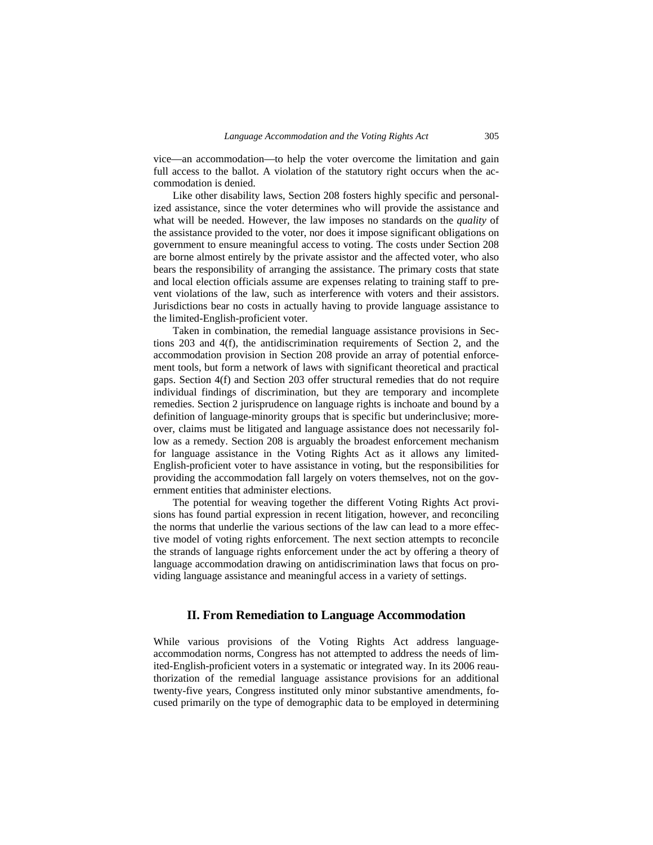vice—an accommodation—to help the voter overcome the limitation and gain full access to the ballot. A violation of the statutory right occurs when the accommodation is denied.

Like other disability laws, Section 208 fosters highly specific and personalized assistance, since the voter determines who will provide the assistance and what will be needed. However, the law imposes no standards on the *quality* of the assistance provided to the voter, nor does it impose significant obligations on government to ensure meaningful access to voting. The costs under Section 208 are borne almost entirely by the private assistor and the affected voter, who also bears the responsibility of arranging the assistance. The primary costs that state and local election officials assume are expenses relating to training staff to prevent violations of the law, such as interference with voters and their assistors. Jurisdictions bear no costs in actually having to provide language assistance to the limited-English-proficient voter.

Taken in combination, the remedial language assistance provisions in Sections 203 and 4(f), the antidiscrimination requirements of Section 2, and the accommodation provision in Section 208 provide an array of potential enforcement tools, but form a network of laws with significant theoretical and practical gaps. Section 4(f) and Section 203 offer structural remedies that do not require individual findings of discrimination, but they are temporary and incomplete remedies. Section 2 jurisprudence on language rights is inchoate and bound by a definition of language-minority groups that is specific but underinclusive; moreover, claims must be litigated and language assistance does not necessarily follow as a remedy. Section 208 is arguably the broadest enforcement mechanism for language assistance in the Voting Rights Act as it allows any limited-English-proficient voter to have assistance in voting, but the responsibilities for providing the accommodation fall largely on voters themselves, not on the government entities that administer elections.

The potential for weaving together the different Voting Rights Act provisions has found partial expression in recent litigation, however, and reconciling the norms that underlie the various sections of the law can lead to a more effective model of voting rights enforcement. The next section attempts to reconcile the strands of language rights enforcement under the act by offering a theory of language accommodation drawing on antidiscrimination laws that focus on providing language assistance and meaningful access in a variety of settings.

# **II. From Remediation to Language Accommodation**

While various provisions of the Voting Rights Act address languageaccommodation norms, Congress has not attempted to address the needs of limited-English-proficient voters in a systematic or integrated way. In its 2006 reauthorization of the remedial language assistance provisions for an additional twenty-five years, Congress instituted only minor substantive amendments, focused primarily on the type of demographic data to be employed in determining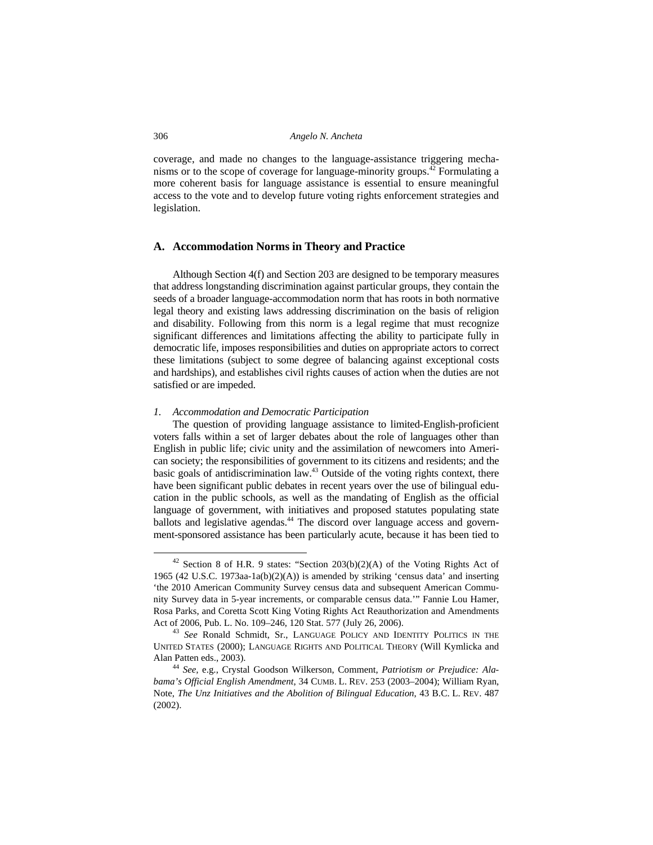coverage, and made no changes to the language-assistance triggering mechanisms or to the scope of coverage for language-minority groups.<sup>42</sup> Formulating a more coherent basis for language assistance is essential to ensure meaningful access to the vote and to develop future voting rights enforcement strategies and legislation.

# **A. Accommodation Norms in Theory and Practice**

 Although Section 4(f) and Section 203 are designed to be temporary measures that address longstanding discrimination against particular groups, they contain the seeds of a broader language-accommodation norm that has roots in both normative legal theory and existing laws addressing discrimination on the basis of religion and disability. Following from this norm is a legal regime that must recognize significant differences and limitations affecting the ability to participate fully in democratic life, imposes responsibilities and duties on appropriate actors to correct these limitations (subject to some degree of balancing against exceptional costs and hardships), and establishes civil rights causes of action when the duties are not satisfied or are impeded.

# *1. Accommodation and Democratic Participation*

The question of providing language assistance to limited-English-proficient voters falls within a set of larger debates about the role of languages other than English in public life; civic unity and the assimilation of newcomers into American society; the responsibilities of government to its citizens and residents; and the basic goals of antidiscrimination law.43 Outside of the voting rights context, there have been significant public debates in recent years over the use of bilingual education in the public schools, as well as the mandating of English as the official language of government, with initiatives and proposed statutes populating state ballots and legislative agendas.<sup>44</sup> The discord over language access and government-sponsored assistance has been particularly acute, because it has been tied to

 $42$  Section 8 of H.R. 9 states: "Section 203(b)(2)(A) of the Voting Rights Act of 1965 (42 U.S.C. 1973aa-1a(b)(2)(A)) is amended by striking 'census data' and inserting 'the 2010 American Community Survey census data and subsequent American Community Survey data in 5-year increments, or comparable census data.'" Fannie Lou Hamer, Rosa Parks, and Coretta Scott King Voting Rights Act Reauthorization and Amendments Act of 2006, Pub. L. No. 109–246, 120 Stat. 577 (July 26, 2006). 43 *See* Ronald Schmidt, Sr., LANGUAGE POLICY AND IDENTITY POLITICS IN THE

UNITED STATES (2000); LANGUAGE RIGHTS AND POLITICAL THEORY (Will Kymlicka and Alan Patten eds., 2003). 44 *See,* e.g., Crystal Goodson Wilkerson, Comment, *Patriotism or Prejudice: Ala-*

*bama's Official English Amendment*, 34 CUMB. L. REV. 253 (2003–2004); William Ryan, Note, *The Unz Initiatives and the Abolition of Bilingual Education*, 43 B.C. L. REV. 487 (2002).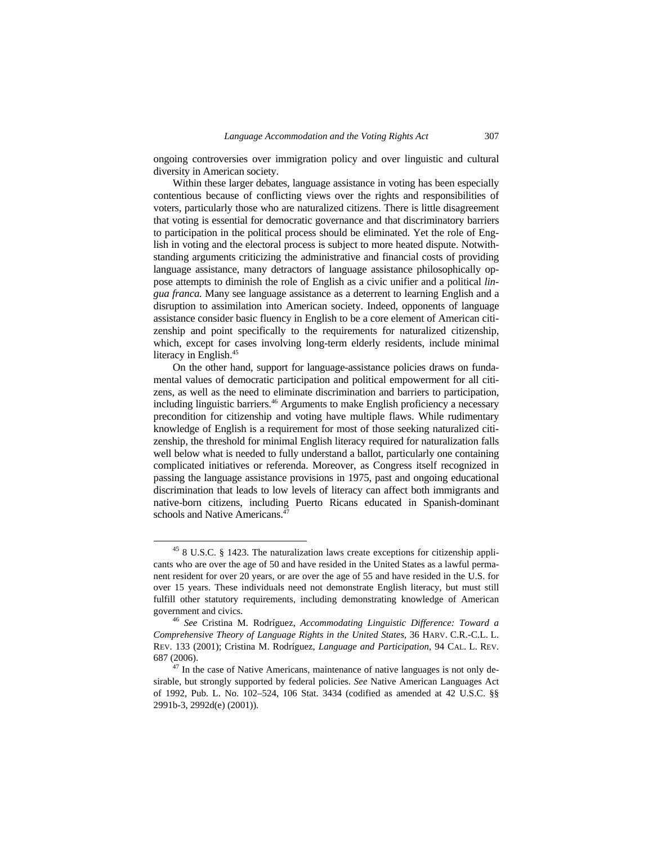ongoing controversies over immigration policy and over linguistic and cultural diversity in American society.

Within these larger debates, language assistance in voting has been especially contentious because of conflicting views over the rights and responsibilities of voters, particularly those who are naturalized citizens. There is little disagreement that voting is essential for democratic governance and that discriminatory barriers to participation in the political process should be eliminated. Yet the role of English in voting and the electoral process is subject to more heated dispute. Notwithstanding arguments criticizing the administrative and financial costs of providing language assistance, many detractors of language assistance philosophically oppose attempts to diminish the role of English as a civic unifier and a political *lingua franca.* Many see language assistance as a deterrent to learning English and a disruption to assimilation into American society. Indeed, opponents of language assistance consider basic fluency in English to be a core element of American citizenship and point specifically to the requirements for naturalized citizenship, which, except for cases involving long-term elderly residents, include minimal literacy in English.<sup>45</sup>

On the other hand, support for language-assistance policies draws on fundamental values of democratic participation and political empowerment for all citizens, as well as the need to eliminate discrimination and barriers to participation, including linguistic barriers.<sup>46</sup> Arguments to make English proficiency a necessary precondition for citizenship and voting have multiple flaws. While rudimentary knowledge of English is a requirement for most of those seeking naturalized citizenship, the threshold for minimal English literacy required for naturalization falls well below what is needed to fully understand a ballot, particularly one containing complicated initiatives or referenda. Moreover, as Congress itself recognized in passing the language assistance provisions in 1975, past and ongoing educational discrimination that leads to low levels of literacy can affect both immigrants and native-born citizens, including Puerto Ricans educated in Spanish-dominant schools and Native Americans.<sup>4</sup>

 <sup>45 8</sup> U.S.C. § 1423. The naturalization laws create exceptions for citizenship applicants who are over the age of 50 and have resided in the United States as a lawful permanent resident for over 20 years, or are over the age of 55 and have resided in the U.S. for over 15 years. These individuals need not demonstrate English literacy, but must still fulfill other statutory requirements, including demonstrating knowledge of American government and civics. 46 *See* Cristina M. Rodríguez, *Accommodating Linguistic Difference: Toward a* 

*Comprehensive Theory of Language Rights in the United States*, 36 HARV. C.R.-C.L. L. REV. 133 (2001); Cristina M. Rodríguez, *Language and Participation*, 94 CAL. L. REV. 687 (2006). 47 In the case of Native Americans, maintenance of native languages is not only de-

sirable, but strongly supported by federal policies. *See* Native American Languages Act of 1992, Pub. L. No. 102–524, 106 Stat. 3434 (codified as amended at 42 U.S.C. §§ 2991b-3, 2992d(e) (2001)).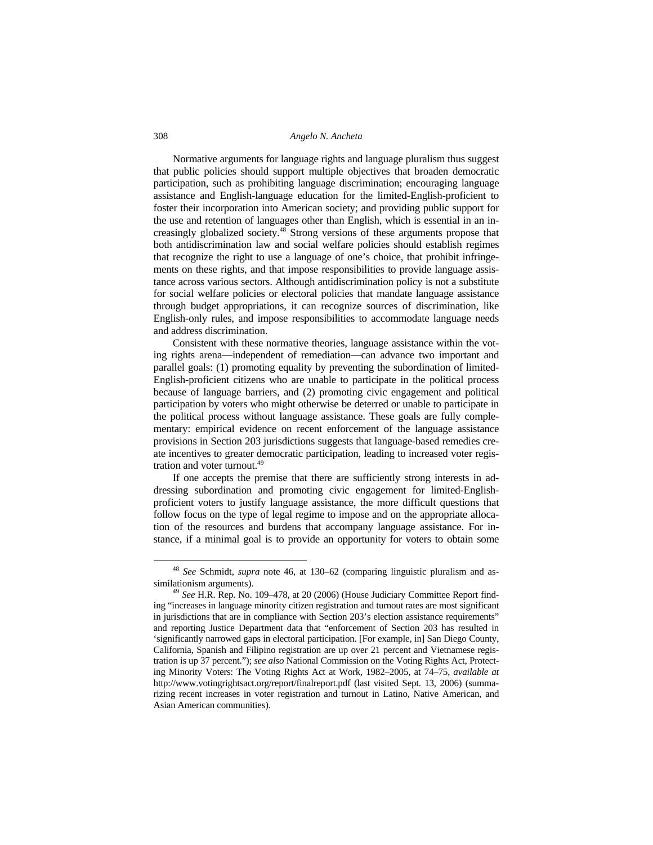Normative arguments for language rights and language pluralism thus suggest that public policies should support multiple objectives that broaden democratic participation, such as prohibiting language discrimination; encouraging language assistance and English-language education for the limited-English-proficient to foster their incorporation into American society; and providing public support for the use and retention of languages other than English, which is essential in an increasingly globalized society.48 Strong versions of these arguments propose that both antidiscrimination law and social welfare policies should establish regimes that recognize the right to use a language of one's choice, that prohibit infringements on these rights, and that impose responsibilities to provide language assistance across various sectors. Although antidiscrimination policy is not a substitute for social welfare policies or electoral policies that mandate language assistance through budget appropriations, it can recognize sources of discrimination, like English-only rules, and impose responsibilities to accommodate language needs and address discrimination.

Consistent with these normative theories, language assistance within the voting rights arena—independent of remediation—can advance two important and parallel goals: (1) promoting equality by preventing the subordination of limited-English-proficient citizens who are unable to participate in the political process because of language barriers, and (2) promoting civic engagement and political participation by voters who might otherwise be deterred or unable to participate in the political process without language assistance. These goals are fully complementary: empirical evidence on recent enforcement of the language assistance provisions in Section 203 jurisdictions suggests that language-based remedies create incentives to greater democratic participation, leading to increased voter registration and voter turnout.<sup>49</sup>

If one accepts the premise that there are sufficiently strong interests in addressing subordination and promoting civic engagement for limited-Englishproficient voters to justify language assistance, the more difficult questions that follow focus on the type of legal regime to impose and on the appropriate allocation of the resources and burdens that accompany language assistance. For instance, if a minimal goal is to provide an opportunity for voters to obtain some

 <sup>48</sup> *See* Schmidt, *supra* note 46, at 130–62 (comparing linguistic pluralism and assimilationism arguments). 49 *See* H.R. Rep. No. 109–478, at 20 (2006) (House Judiciary Committee Report find-

ing "increases in language minority citizen registration and turnout rates are most significant in jurisdictions that are in compliance with Section 203's election assistance requirements" and reporting Justice Department data that "enforcement of Section 203 has resulted in 'significantly narrowed gaps in electoral participation. [For example, in] San Diego County, California, Spanish and Filipino registration are up over 21 percent and Vietnamese registration is up 37 percent."); *see also* National Commission on the Voting Rights Act, Protecting Minority Voters: The Voting Rights Act at Work, 1982–2005, at 74–75, *available at*  http://www.votingrightsact.org/report/finalreport.pdf (last visited Sept. 13, 2006) (summarizing recent increases in voter registration and turnout in Latino, Native American, and Asian American communities).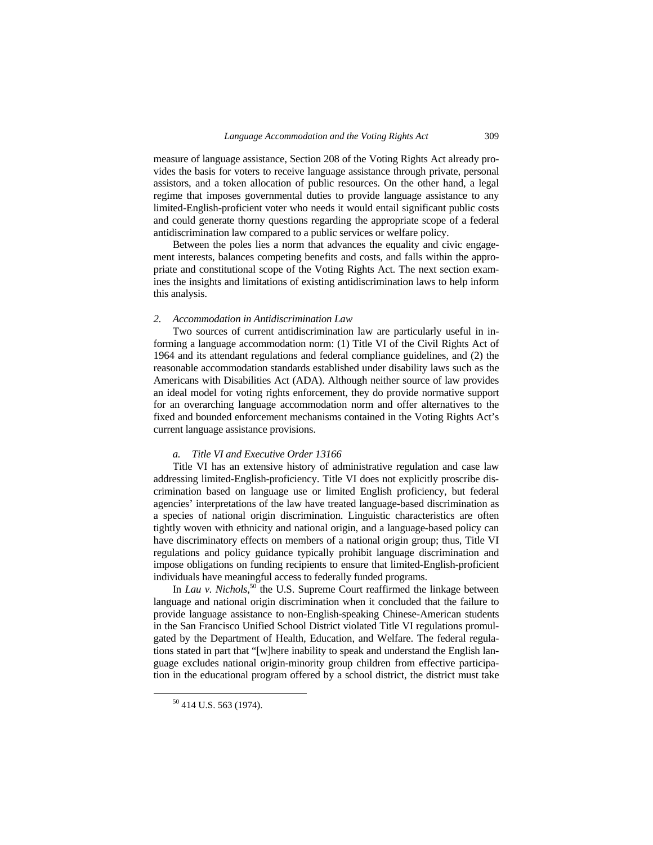measure of language assistance, Section 208 of the Voting Rights Act already provides the basis for voters to receive language assistance through private, personal assistors, and a token allocation of public resources. On the other hand, a legal regime that imposes governmental duties to provide language assistance to any limited-English-proficient voter who needs it would entail significant public costs and could generate thorny questions regarding the appropriate scope of a federal antidiscrimination law compared to a public services or welfare policy.

Between the poles lies a norm that advances the equality and civic engagement interests, balances competing benefits and costs, and falls within the appropriate and constitutional scope of the Voting Rights Act. The next section examines the insights and limitations of existing antidiscrimination laws to help inform this analysis.

# *2. Accommodation in Antidiscrimination Law*

Two sources of current antidiscrimination law are particularly useful in informing a language accommodation norm: (1) Title VI of the Civil Rights Act of 1964 and its attendant regulations and federal compliance guidelines, and (2) the reasonable accommodation standards established under disability laws such as the Americans with Disabilities Act (ADA). Although neither source of law provides an ideal model for voting rights enforcement, they do provide normative support for an overarching language accommodation norm and offer alternatives to the fixed and bounded enforcement mechanisms contained in the Voting Rights Act's current language assistance provisions.

# *a. Title VI and Executive Order 13166*

Title VI has an extensive history of administrative regulation and case law addressing limited-English-proficiency. Title VI does not explicitly proscribe discrimination based on language use or limited English proficiency, but federal agencies' interpretations of the law have treated language-based discrimination as a species of national origin discrimination. Linguistic characteristics are often tightly woven with ethnicity and national origin, and a language-based policy can have discriminatory effects on members of a national origin group; thus, Title VI regulations and policy guidance typically prohibit language discrimination and impose obligations on funding recipients to ensure that limited-English-proficient individuals have meaningful access to federally funded programs.

In *Lau v. Nichols*,<sup>50</sup> the U.S. Supreme Court reaffirmed the linkage between language and national origin discrimination when it concluded that the failure to provide language assistance to non-English-speaking Chinese-American students in the San Francisco Unified School District violated Title VI regulations promulgated by the Department of Health, Education, and Welfare. The federal regulations stated in part that "[w]here inability to speak and understand the English language excludes national origin-minority group children from effective participation in the educational program offered by a school district, the district must take

 <sup>50 414</sup> U.S. 563 (1974).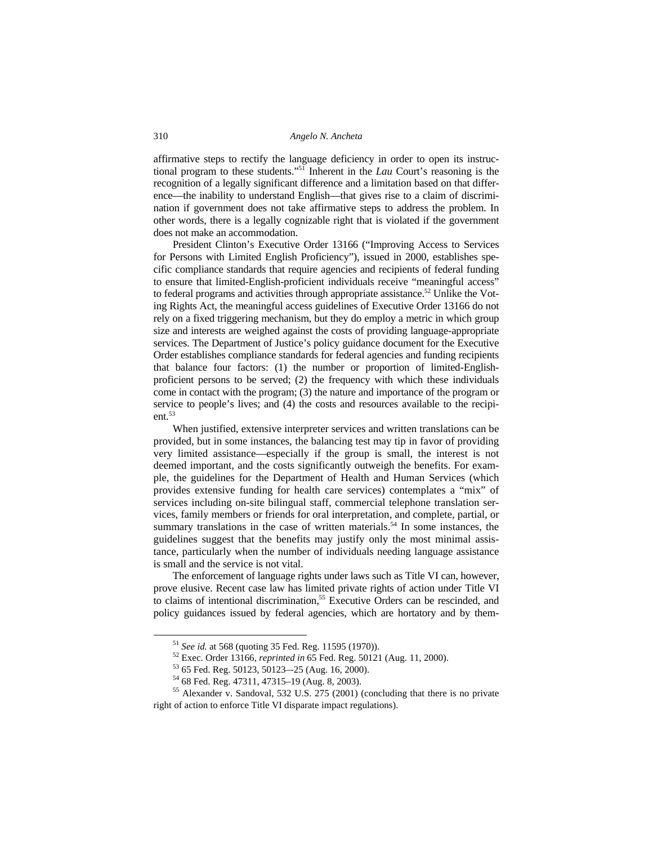affirmative steps to rectify the language deficiency in order to open its instructional program to these students."51 Inherent in the *Lau* Court's reasoning is the recognition of a legally significant difference and a limitation based on that difference—the inability to understand English—that gives rise to a claim of discrimination if government does not take affirmative steps to address the problem. In other words, there is a legally cognizable right that is violated if the government does not make an accommodation.

President Clinton's Executive Order 13166 ("Improving Access to Services for Persons with Limited English Proficiency"), issued in 2000, establishes specific compliance standards that require agencies and recipients of federal funding to ensure that limited-English-proficient individuals receive "meaningful access" to federal programs and activities through appropriate assistance.<sup>52</sup> Unlike the Voting Rights Act, the meaningful access guidelines of Executive Order 13166 do not rely on a fixed triggering mechanism, but they do employ a metric in which group size and interests are weighed against the costs of providing language-appropriate services. The Department of Justice's policy guidance document for the Executive Order establishes compliance standards for federal agencies and funding recipients that balance four factors: (1) the number or proportion of limited-Englishproficient persons to be served; (2) the frequency with which these individuals come in contact with the program; (3) the nature and importance of the program or service to people's lives; and (4) the costs and resources available to the recipient.53

When justified, extensive interpreter services and written translations can be provided, but in some instances, the balancing test may tip in favor of providing very limited assistance—especially if the group is small, the interest is not deemed important, and the costs significantly outweigh the benefits. For example, the guidelines for the Department of Health and Human Services (which provides extensive funding for health care services) contemplates a "mix" of services including on-site bilingual staff, commercial telephone translation services, family members or friends for oral interpretation, and complete, partial, or summary translations in the case of written materials.<sup>54</sup> In some instances, the guidelines suggest that the benefits may justify only the most minimal assistance, particularly when the number of individuals needing language assistance is small and the service is not vital.

The enforcement of language rights under laws such as Title VI can, however, prove elusive. Recent case law has limited private rights of action under Title VI to claims of intentional discrimination,<sup>55</sup> Executive Orders can be rescinded, and policy guidances issued by federal agencies, which are hortatory and by them-

<sup>&</sup>lt;sup>51</sup> *See id.* at 568 (quoting 35 Fed. Reg. 11595 (1970)).<br><sup>52</sup> Exec. Order 13166, *reprinted in* 65 Fed. Reg. 50121 (Aug. 11, 2000).<br><sup>53</sup> 65 Fed. Reg. 50123, 50123–-25 (Aug. 16, 2000).

<sup>54 68</sup> Fed. Reg. 47311, 47315–19 (Aug. 8, 2003).

<sup>&</sup>lt;sup>55</sup> Alexander v. Sandoval, 532 U.S. 275 (2001) (concluding that there is no private right of action to enforce Title VI disparate impact regulations).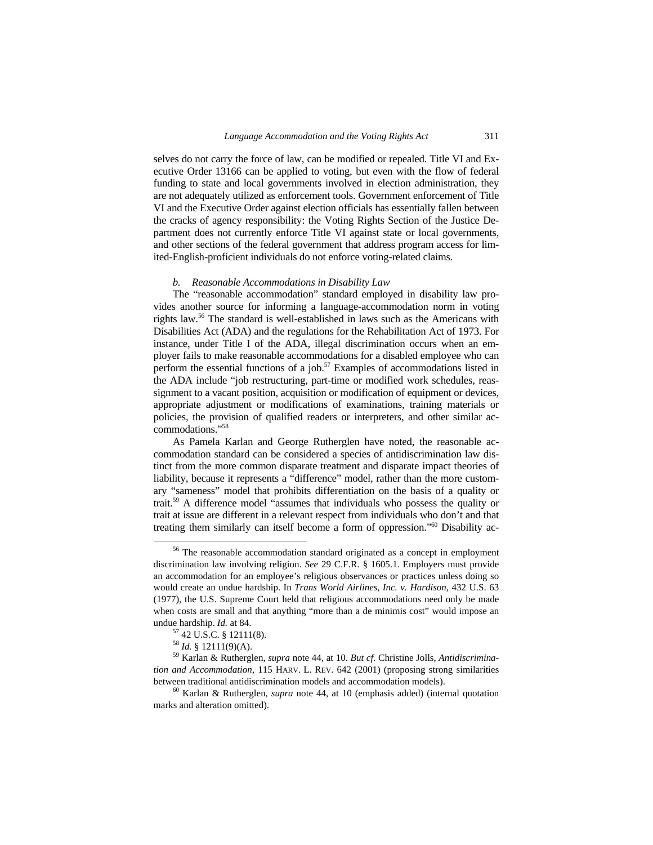selves do not carry the force of law, can be modified or repealed. Title VI and Executive Order 13166 can be applied to voting, but even with the flow of federal funding to state and local governments involved in election administration, they are not adequately utilized as enforcement tools. Government enforcement of Title VI and the Executive Order against election officials has essentially fallen between the cracks of agency responsibility: the Voting Rights Section of the Justice Department does not currently enforce Title VI against state or local governments, and other sections of the federal government that address program access for limited-English-proficient individuals do not enforce voting-related claims.

# *b. Reasonable Accommodations in Disability Law*

The "reasonable accommodation" standard employed in disability law provides another source for informing a language-accommodation norm in voting rights law.56 The standard is well-established in laws such as the Americans with Disabilities Act (ADA) and the regulations for the Rehabilitation Act of 1973. For instance, under Title I of the ADA, illegal discrimination occurs when an employer fails to make reasonable accommodations for a disabled employee who can perform the essential functions of a job. $57$  Examples of accommodations listed in the ADA include "job restructuring, part-time or modified work schedules, reassignment to a vacant position, acquisition or modification of equipment or devices, appropriate adjustment or modifications of examinations, training materials or policies, the provision of qualified readers or interpreters, and other similar accommodations."58

As Pamela Karlan and George Rutherglen have noted, the reasonable accommodation standard can be considered a species of antidiscrimination law distinct from the more common disparate treatment and disparate impact theories of liability, because it represents a "difference" model*,* rather than the more customary "sameness" model that prohibits differentiation on the basis of a quality or trait.59 A difference model "assumes that individuals who possess the quality or trait at issue are different in a relevant respect from individuals who don't and that treating them similarly can itself become a form of oppression."60 Disability ac-

 <sup>56</sup> The reasonable accommodation standard originated as a concept in employment discrimination law involving religion. *See* 29 C.F.R. § 1605.1. Employers must provide an accommodation for an employee's religious observances or practices unless doing so would create an undue hardship. In *Trans World Airlines, Inc. v. Hardison*, 432 U.S. 63 (1977), the U.S. Supreme Court held that religious accommodations need only be made when costs are small and that anything "more than a de minimis cost" would impose an undue hardship. *Id.* at 84.<br><sup>57</sup> 42 U.S.C. § 12111(8).<br><sup>58</sup> *Id.* § 12111(9)(A).

<sup>58</sup> *Id.* § 12111(9)(A). 59 Karlan & Rutherglen, *supra* note 44, at 10. *But cf.* Christine Jolls, *Antidiscrimination and Accommodation,* 115 HARV. L. REV. 642 (2001) (proposing strong similarities between traditional antidiscrimination models and accommodation models). 60 Karlan & Rutherglen, *supra* note 44, at 10 (emphasis added) (internal quotation

marks and alteration omitted).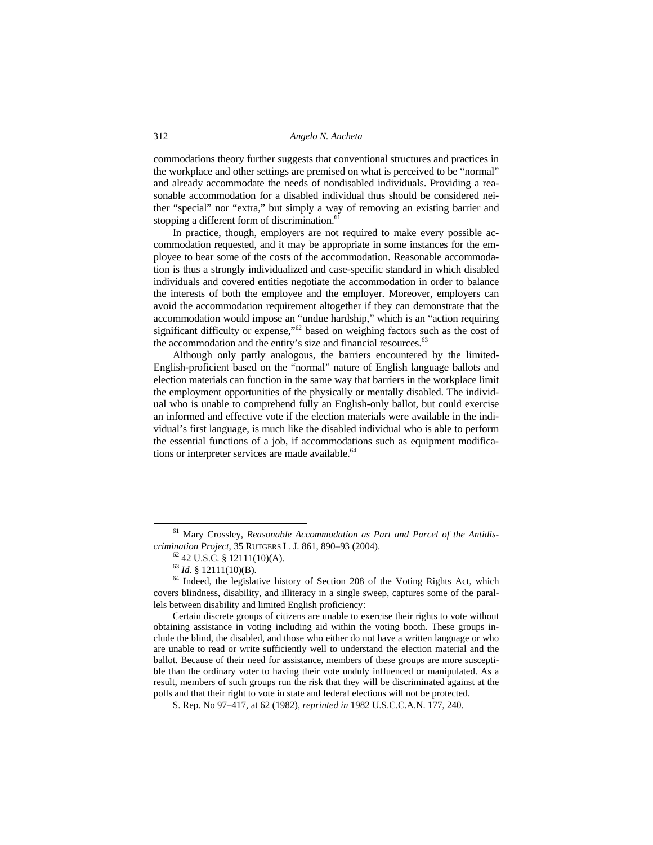commodations theory further suggests that conventional structures and practices in the workplace and other settings are premised on what is perceived to be "normal" and already accommodate the needs of nondisabled individuals. Providing a reasonable accommodation for a disabled individual thus should be considered neither "special" nor "extra," but simply a way of removing an existing barrier and stopping a different form of discrimination.<sup>61</sup>

In practice, though, employers are not required to make every possible accommodation requested, and it may be appropriate in some instances for the employee to bear some of the costs of the accommodation. Reasonable accommodation is thus a strongly individualized and case-specific standard in which disabled individuals and covered entities negotiate the accommodation in order to balance the interests of both the employee and the employer. Moreover, employers can avoid the accommodation requirement altogether if they can demonstrate that the accommodation would impose an "undue hardship," which is an "action requiring significant difficulty or expense,"<sup>62</sup> based on weighing factors such as the cost of the accommodation and the entity's size and financial resources.<sup>63</sup>

Although only partly analogous, the barriers encountered by the limited-English-proficient based on the "normal" nature of English language ballots and election materials can function in the same way that barriers in the workplace limit the employment opportunities of the physically or mentally disabled. The individual who is unable to comprehend fully an English-only ballot, but could exercise an informed and effective vote if the election materials were available in the individual's first language, is much like the disabled individual who is able to perform the essential functions of a job, if accommodations such as equipment modifications or interpreter services are made available.<sup>64</sup>

 <sup>61</sup> Mary Crossley, *Reasonable Accommodation as Part and Parcel of the Antidiscrimination Project*, 35 RUTGERS L. J. 861, 890–93 (2004).<br><sup>62</sup> 42 U.S.C. § 12111(10)(A).<br><sup>63</sup> Id. § 12111(10)(B).

<sup>&</sup>lt;sup>64</sup> Indeed, the legislative history of Section 208 of the Voting Rights Act, which covers blindness, disability, and illiteracy in a single sweep, captures some of the parallels between disability and limited English proficiency:

Certain discrete groups of citizens are unable to exercise their rights to vote without obtaining assistance in voting including aid within the voting booth. These groups include the blind, the disabled, and those who either do not have a written language or who are unable to read or write sufficiently well to understand the election material and the ballot. Because of their need for assistance, members of these groups are more susceptible than the ordinary voter to having their vote unduly influenced or manipulated. As a result, members of such groups run the risk that they will be discriminated against at the polls and that their right to vote in state and federal elections will not be protected.

S. Rep. No 97–417, at 62 (1982), *reprinted in* 1982 U.S.C.C.A.N. 177, 240.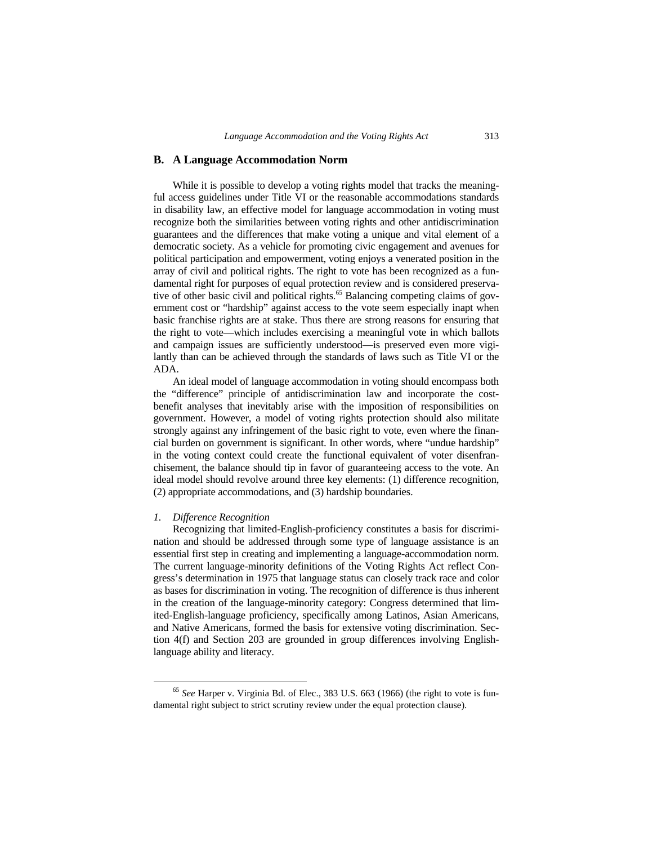# **B. A Language Accommodation Norm**

While it is possible to develop a voting rights model that tracks the meaningful access guidelines under Title VI or the reasonable accommodations standards in disability law, an effective model for language accommodation in voting must recognize both the similarities between voting rights and other antidiscrimination guarantees and the differences that make voting a unique and vital element of a democratic society. As a vehicle for promoting civic engagement and avenues for political participation and empowerment, voting enjoys a venerated position in the array of civil and political rights. The right to vote has been recognized as a fundamental right for purposes of equal protection review and is considered preservative of other basic civil and political rights.<sup>65</sup> Balancing competing claims of government cost or "hardship" against access to the vote seem especially inapt when basic franchise rights are at stake. Thus there are strong reasons for ensuring that the right to vote—which includes exercising a meaningful vote in which ballots and campaign issues are sufficiently understood—is preserved even more vigilantly than can be achieved through the standards of laws such as Title VI or the ADA.

An ideal model of language accommodation in voting should encompass both the "difference" principle of antidiscrimination law and incorporate the costbenefit analyses that inevitably arise with the imposition of responsibilities on government. However, a model of voting rights protection should also militate strongly against any infringement of the basic right to vote, even where the financial burden on government is significant. In other words, where "undue hardship" in the voting context could create the functional equivalent of voter disenfranchisement, the balance should tip in favor of guaranteeing access to the vote. An ideal model should revolve around three key elements: (1) difference recognition, (2) appropriate accommodations, and (3) hardship boundaries.

#### *1. Difference Recognition*

Recognizing that limited-English-proficiency constitutes a basis for discrimination and should be addressed through some type of language assistance is an essential first step in creating and implementing a language-accommodation norm. The current language-minority definitions of the Voting Rights Act reflect Congress's determination in 1975 that language status can closely track race and color as bases for discrimination in voting. The recognition of difference is thus inherent in the creation of the language-minority category: Congress determined that limited-English-language proficiency, specifically among Latinos, Asian Americans, and Native Americans, formed the basis for extensive voting discrimination. Section 4(f) and Section 203 are grounded in group differences involving Englishlanguage ability and literacy.

 <sup>65</sup> *See* Harper v. Virginia Bd. of Elec., 383 U.S. 663 (1966) (the right to vote is fundamental right subject to strict scrutiny review under the equal protection clause).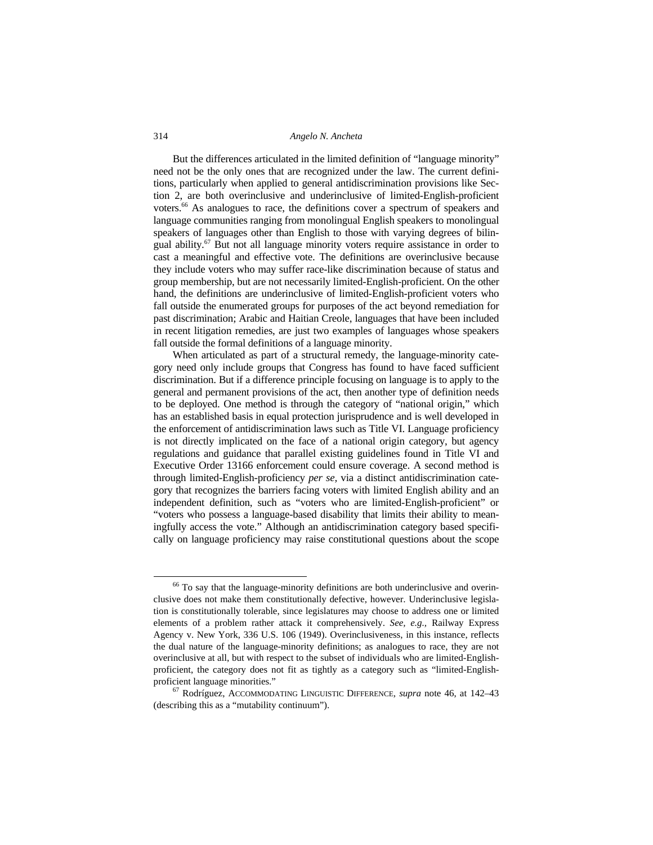But the differences articulated in the limited definition of "language minority" need not be the only ones that are recognized under the law. The current definitions, particularly when applied to general antidiscrimination provisions like Section 2, are both overinclusive and underinclusive of limited-English-proficient voters.66 As analogues to race, the definitions cover a spectrum of speakers and language communities ranging from monolingual English speakers to monolingual speakers of languages other than English to those with varying degrees of bilingual ability. $67$  But not all language minority voters require assistance in order to cast a meaningful and effective vote. The definitions are overinclusive because they include voters who may suffer race-like discrimination because of status and group membership, but are not necessarily limited-English-proficient. On the other hand, the definitions are underinclusive of limited-English-proficient voters who fall outside the enumerated groups for purposes of the act beyond remediation for past discrimination; Arabic and Haitian Creole, languages that have been included in recent litigation remedies, are just two examples of languages whose speakers fall outside the formal definitions of a language minority.

When articulated as part of a structural remedy, the language-minority category need only include groups that Congress has found to have faced sufficient discrimination. But if a difference principle focusing on language is to apply to the general and permanent provisions of the act, then another type of definition needs to be deployed. One method is through the category of "national origin," which has an established basis in equal protection jurisprudence and is well developed in the enforcement of antidiscrimination laws such as Title VI. Language proficiency is not directly implicated on the face of a national origin category, but agency regulations and guidance that parallel existing guidelines found in Title VI and Executive Order 13166 enforcement could ensure coverage. A second method is through limited-English-proficiency *per se,* via a distinct antidiscrimination category that recognizes the barriers facing voters with limited English ability and an independent definition, such as "voters who are limited-English-proficient" or "voters who possess a language-based disability that limits their ability to meaningfully access the vote." Although an antidiscrimination category based specifically on language proficiency may raise constitutional questions about the scope

<sup>&</sup>lt;sup>66</sup> To say that the language-minority definitions are both underinclusive and overinclusive does not make them constitutionally defective, however. Underinclusive legislation is constitutionally tolerable, since legislatures may choose to address one or limited elements of a problem rather attack it comprehensively. *See, e.g.,* Railway Express Agency v. New York, 336 U.S. 106 (1949). Overinclusiveness, in this instance, reflects the dual nature of the language-minority definitions; as analogues to race, they are not overinclusive at all, but with respect to the subset of individuals who are limited-Englishproficient, the category does not fit as tightly as a category such as "limited-Englishproficient language minorities." 67 Rodríguez, ACCOMMODATING LINGUISTIC DIFFERENCE*, supra* note 46, at 142–43

<sup>(</sup>describing this as a "mutability continuum").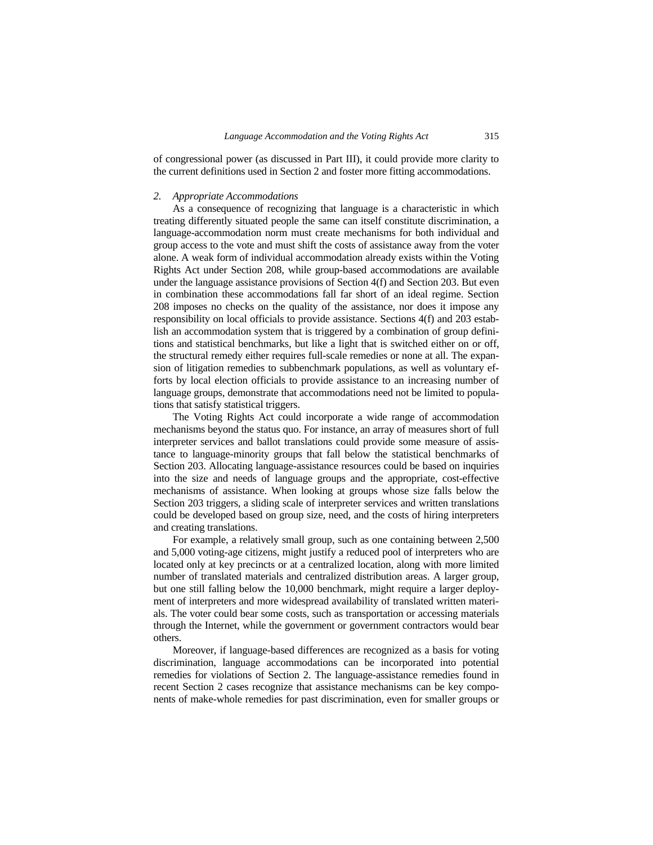of congressional power (as discussed in Part III), it could provide more clarity to the current definitions used in Section 2 and foster more fitting accommodations.

#### *2. Appropriate Accommodations*

As a consequence of recognizing that language is a characteristic in which treating differently situated people the same can itself constitute discrimination, a language-accommodation norm must create mechanisms for both individual and group access to the vote and must shift the costs of assistance away from the voter alone. A weak form of individual accommodation already exists within the Voting Rights Act under Section 208, while group-based accommodations are available under the language assistance provisions of Section 4(f) and Section 203. But even in combination these accommodations fall far short of an ideal regime. Section 208 imposes no checks on the quality of the assistance, nor does it impose any responsibility on local officials to provide assistance. Sections 4(f) and 203 establish an accommodation system that is triggered by a combination of group definitions and statistical benchmarks, but like a light that is switched either on or off, the structural remedy either requires full-scale remedies or none at all. The expansion of litigation remedies to subbenchmark populations*,* as well as voluntary efforts by local election officials to provide assistance to an increasing number of language groups, demonstrate that accommodations need not be limited to populations that satisfy statistical triggers.

The Voting Rights Act could incorporate a wide range of accommodation mechanisms beyond the status quo. For instance, an array of measures short of full interpreter services and ballot translations could provide some measure of assistance to language-minority groups that fall below the statistical benchmarks of Section 203. Allocating language-assistance resources could be based on inquiries into the size and needs of language groups and the appropriate, cost-effective mechanisms of assistance. When looking at groups whose size falls below the Section 203 triggers, a sliding scale of interpreter services and written translations could be developed based on group size, need, and the costs of hiring interpreters and creating translations.

For example, a relatively small group, such as one containing between 2,500 and 5,000 voting-age citizens, might justify a reduced pool of interpreters who are located only at key precincts or at a centralized location, along with more limited number of translated materials and centralized distribution areas. A larger group, but one still falling below the 10,000 benchmark, might require a larger deployment of interpreters and more widespread availability of translated written materials. The voter could bear some costs, such as transportation or accessing materials through the Internet, while the government or government contractors would bear others.

Moreover, if language-based differences are recognized as a basis for voting discrimination, language accommodations can be incorporated into potential remedies for violations of Section 2. The language-assistance remedies found in recent Section 2 cases recognize that assistance mechanisms can be key components of make-whole remedies for past discrimination, even for smaller groups or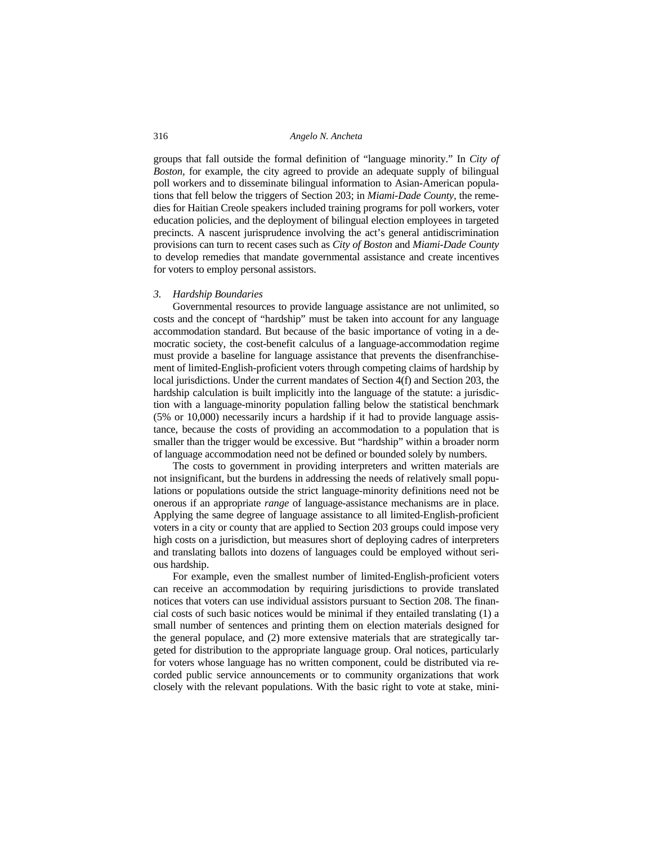groups that fall outside the formal definition of "language minority." In *City of Boston,* for example, the city agreed to provide an adequate supply of bilingual poll workers and to disseminate bilingual information to Asian-American populations that fell below the triggers of Section 203; in *Miami-Dade County,* the remedies for Haitian Creole speakers included training programs for poll workers, voter education policies, and the deployment of bilingual election employees in targeted precincts. A nascent jurisprudence involving the act's general antidiscrimination provisions can turn to recent cases such as *City of Boston* and *Miami-Dade County*  to develop remedies that mandate governmental assistance and create incentives for voters to employ personal assistors.

#### *3. Hardship Boundaries*

Governmental resources to provide language assistance are not unlimited, so costs and the concept of "hardship" must be taken into account for any language accommodation standard. But because of the basic importance of voting in a democratic society, the cost-benefit calculus of a language-accommodation regime must provide a baseline for language assistance that prevents the disenfranchisement of limited-English-proficient voters through competing claims of hardship by local jurisdictions. Under the current mandates of Section 4(f) and Section 203, the hardship calculation is built implicitly into the language of the statute: a jurisdiction with a language-minority population falling below the statistical benchmark (5% or 10,000) necessarily incurs a hardship if it had to provide language assistance, because the costs of providing an accommodation to a population that is smaller than the trigger would be excessive. But "hardship" within a broader norm of language accommodation need not be defined or bounded solely by numbers.

The costs to government in providing interpreters and written materials are not insignificant, but the burdens in addressing the needs of relatively small populations or populations outside the strict language-minority definitions need not be onerous if an appropriate *range* of language-assistance mechanisms are in place. Applying the same degree of language assistance to all limited-English-proficient voters in a city or county that are applied to Section 203 groups could impose very high costs on a jurisdiction, but measures short of deploying cadres of interpreters and translating ballots into dozens of languages could be employed without serious hardship.

For example, even the smallest number of limited-English-proficient voters can receive an accommodation by requiring jurisdictions to provide translated notices that voters can use individual assistors pursuant to Section 208. The financial costs of such basic notices would be minimal if they entailed translating (1) a small number of sentences and printing them on election materials designed for the general populace, and (2) more extensive materials that are strategically targeted for distribution to the appropriate language group. Oral notices, particularly for voters whose language has no written component, could be distributed via recorded public service announcements or to community organizations that work closely with the relevant populations. With the basic right to vote at stake, mini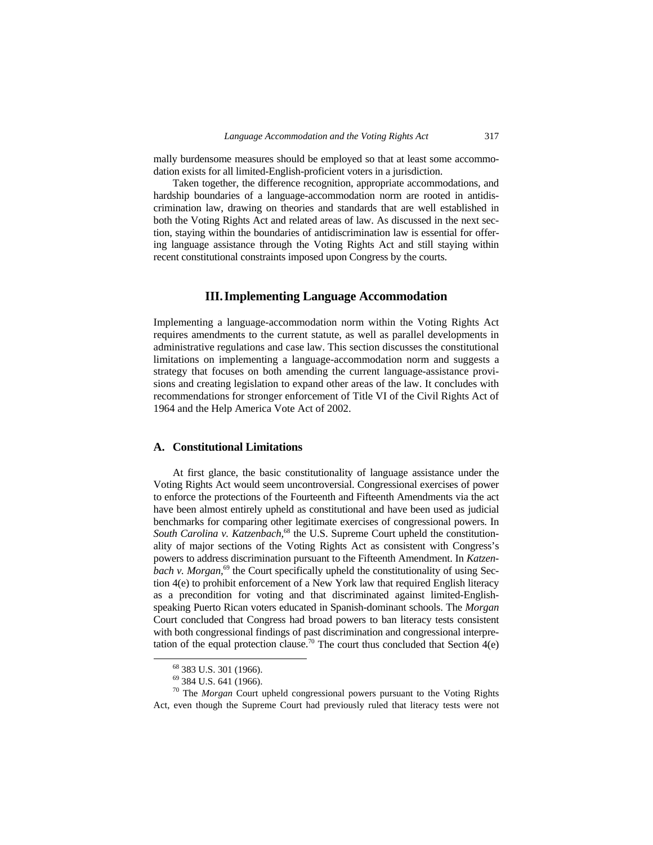mally burdensome measures should be employed so that at least some accommodation exists for all limited-English-proficient voters in a jurisdiction.

Taken together, the difference recognition, appropriate accommodations, and hardship boundaries of a language-accommodation norm are rooted in antidiscrimination law, drawing on theories and standards that are well established in both the Voting Rights Act and related areas of law. As discussed in the next section, staying within the boundaries of antidiscrimination law is essential for offering language assistance through the Voting Rights Act and still staying within recent constitutional constraints imposed upon Congress by the courts.

# **III. Implementing Language Accommodation**

Implementing a language-accommodation norm within the Voting Rights Act requires amendments to the current statute, as well as parallel developments in administrative regulations and case law. This section discusses the constitutional limitations on implementing a language-accommodation norm and suggests a strategy that focuses on both amending the current language-assistance provisions and creating legislation to expand other areas of the law. It concludes with recommendations for stronger enforcement of Title VI of the Civil Rights Act of 1964 and the Help America Vote Act of 2002.

# **A. Constitutional Limitations**

At first glance, the basic constitutionality of language assistance under the Voting Rights Act would seem uncontroversial. Congressional exercises of power to enforce the protections of the Fourteenth and Fifteenth Amendments via the act have been almost entirely upheld as constitutional and have been used as judicial benchmarks for comparing other legitimate exercises of congressional powers. In *South Carolina v. Katzenbach,*68 the U.S. Supreme Court upheld the constitutionality of major sections of the Voting Rights Act as consistent with Congress's powers to address discrimination pursuant to the Fifteenth Amendment. In *Katzenbach v. Morgan*,<sup>69</sup> the Court specifically upheld the constitutionality of using Section 4(e) to prohibit enforcement of a New York law that required English literacy as a precondition for voting and that discriminated against limited-Englishspeaking Puerto Rican voters educated in Spanish-dominant schools. The *Morgan*  Court concluded that Congress had broad powers to ban literacy tests consistent with both congressional findings of past discrimination and congressional interpretation of the equal protection clause.<sup>70</sup> The court thus concluded that Section  $4(e)$ 

 <sup>68 383</sup> U.S. 301 (1966).

<sup>69 384</sup> U.S. 641 (1966).

<sup>70</sup> The *Morgan* Court upheld congressional powers pursuant to the Voting Rights Act, even though the Supreme Court had previously ruled that literacy tests were not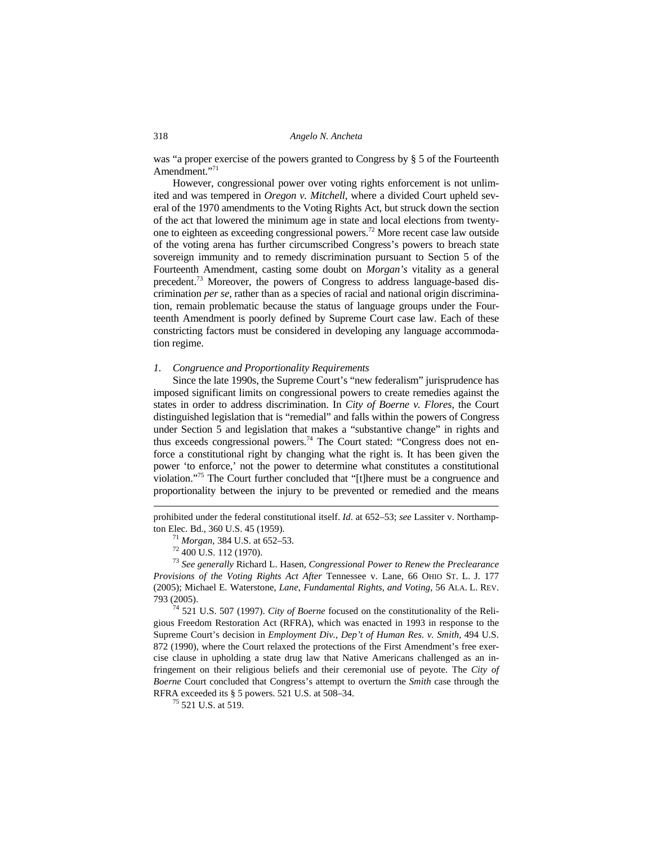was "a proper exercise of the powers granted to Congress by § 5 of the Fourteenth Amendment."<sup>71</sup>

However, congressional power over voting rights enforcement is not unlimited and was tempered in *Oregon v. Mitchell*, where a divided Court upheld several of the 1970 amendments to the Voting Rights Act, but struck down the section of the act that lowered the minimum age in state and local elections from twentyone to eighteen as exceeding congressional powers.72 More recent case law outside of the voting arena has further circumscribed Congress's powers to breach state sovereign immunity and to remedy discrimination pursuant to Section 5 of the Fourteenth Amendment, casting some doubt on *Morgan's* vitality as a general precedent.<sup>73</sup> Moreover, the powers of Congress to address language-based discrimination *per se,* rather than as a species of racial and national origin discrimination, remain problematic because the status of language groups under the Fourteenth Amendment is poorly defined by Supreme Court case law. Each of these constricting factors must be considered in developing any language accommodation regime.

# *1. Congruence and Proportionality Requirements*

Since the late 1990s, the Supreme Court's "new federalism" jurisprudence has imposed significant limits on congressional powers to create remedies against the states in order to address discrimination. In *City of Boerne v. Flores,* the Court distinguished legislation that is "remedial" and falls within the powers of Congress under Section 5 and legislation that makes a "substantive change" in rights and thus exceeds congressional powers.<sup>74</sup> The Court stated: "Congress does not enforce a constitutional right by changing what the right is. It has been given the power 'to enforce,' not the power to determine what constitutes a constitutional violation."75 The Court further concluded that "[t]here must be a congruence and proportionality between the injury to be prevented or remedied and the means

 $\overline{\phantom{a}}$ 

gious Freedom Restoration Act (RFRA), which was enacted in 1993 in response to the Supreme Court's decision in *Employment Div., Dep't of Human Res. v. Smith,* 494 U.S. 872 (1990), where the Court relaxed the protections of the First Amendment's free exercise clause in upholding a state drug law that Native Americans challenged as an infringement on their religious beliefs and their ceremonial use of peyote. The *City of Boerne* Court concluded that Congress's attempt to overturn the *Smith* case through the RFRA exceeded its § 5 powers. 521 U.S. at 508–34.<br><sup>75</sup> 521 U.S. at 519.

prohibited under the federal constitutional itself. *Id*. at 652–53; *see* Lassiter v. Northampton Elec. Bd., 360 U.S. 45 (1959). 71 *Morgan,* 384 U.S. at 652–53. 72 400 U.S. 112 (1970).

<sup>73</sup> *See generally* Richard L. Hasen, *Congressional Power to Renew the Preclearance Provisions of the Voting Rights Act After* Tennessee v. Lane*,* 66 OHIO ST. L. J. 177 (2005); Michael E. Waterstone, *Lane*, *Fundamental Rights, and Voting,* 56 ALA. L. REV. 793 (2005). 74 521 U.S. 507 (1997). *City of Boerne* focused on the constitutionality of the Reli-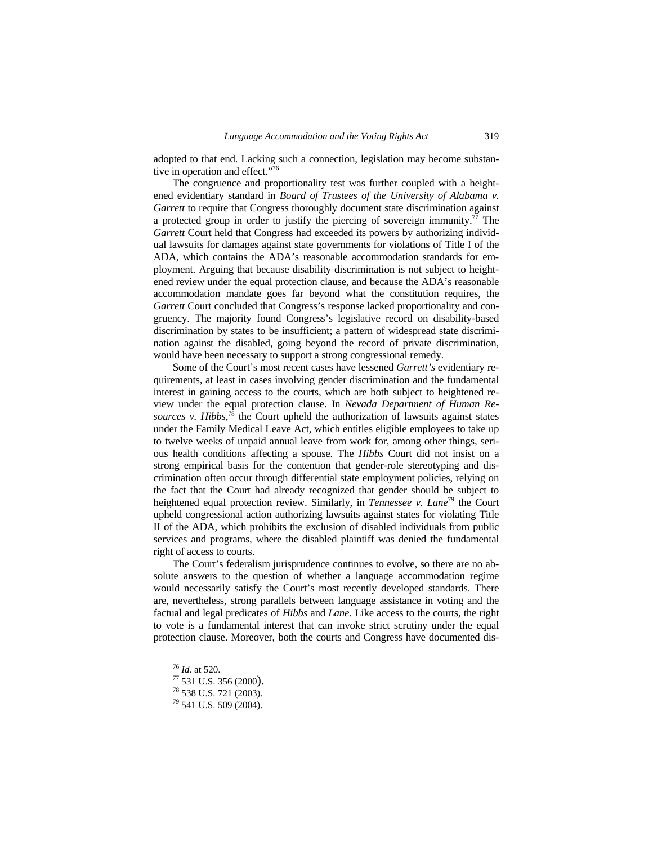adopted to that end. Lacking such a connection, legislation may become substantive in operation and effect."76

The congruence and proportionality test was further coupled with a heightened evidentiary standard in *Board of Trustees of the University of Alabama v. Garrett* to require that Congress thoroughly document state discrimination against a protected group in order to justify the piercing of sovereign immunity.<sup>77</sup> The *Garrett* Court held that Congress had exceeded its powers by authorizing individual lawsuits for damages against state governments for violations of Title I of the ADA, which contains the ADA's reasonable accommodation standards for employment. Arguing that because disability discrimination is not subject to heightened review under the equal protection clause, and because the ADA's reasonable accommodation mandate goes far beyond what the constitution requires, the *Garrett* Court concluded that Congress's response lacked proportionality and congruency. The majority found Congress's legislative record on disability-based discrimination by states to be insufficient; a pattern of widespread state discrimination against the disabled, going beyond the record of private discrimination, would have been necessary to support a strong congressional remedy.

Some of the Court's most recent cases have lessened *Garrett's* evidentiary requirements, at least in cases involving gender discrimination and the fundamental interest in gaining access to the courts, which are both subject to heightened review under the equal protection clause. In *Nevada Department of Human Resources v. Hibbs,*<sup>78</sup> the Court upheld the authorization of lawsuits against states under the Family Medical Leave Act, which entitles eligible employees to take up to twelve weeks of unpaid annual leave from work for, among other things, serious health conditions affecting a spouse. The *Hibbs* Court did not insist on a strong empirical basis for the contention that gender-role stereotyping and discrimination often occur through differential state employment policies, relying on the fact that the Court had already recognized that gender should be subject to heightened equal protection review. Similarly, in *Tennessee v. Lane*<sup>79</sup> the Court upheld congressional action authorizing lawsuits against states for violating Title II of the ADA, which prohibits the exclusion of disabled individuals from public services and programs, where the disabled plaintiff was denied the fundamental right of access to courts.

The Court's federalism jurisprudence continues to evolve, so there are no absolute answers to the question of whether a language accommodation regime would necessarily satisfy the Court's most recently developed standards. There are, nevertheless, strong parallels between language assistance in voting and the factual and legal predicates of *Hibbs* and *Lane.* Like access to the courts, the right to vote is a fundamental interest that can invoke strict scrutiny under the equal protection clause. Moreover, both the courts and Congress have documented dis-

<sup>&</sup>lt;sup>76</sup> *Id.* at 520.<br><sup>77</sup> 531 U.S. 356 (2000).<br><sup>78</sup> 538 U.S. 721 (2003).

<sup>79 541</sup> U.S. 509 (2004).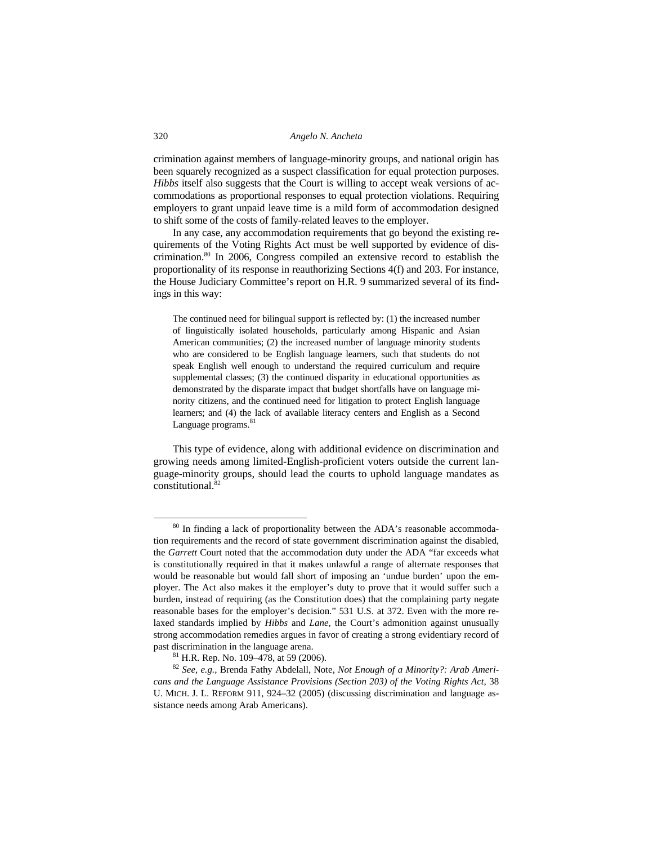crimination against members of language-minority groups, and national origin has been squarely recognized as a suspect classification for equal protection purposes. *Hibbs* itself also suggests that the Court is willing to accept weak versions of accommodations as proportional responses to equal protection violations. Requiring employers to grant unpaid leave time is a mild form of accommodation designed to shift some of the costs of family-related leaves to the employer.

In any case, any accommodation requirements that go beyond the existing requirements of the Voting Rights Act must be well supported by evidence of discrimination.80 In 2006, Congress compiled an extensive record to establish the proportionality of its response in reauthorizing Sections 4(f) and 203. For instance, the House Judiciary Committee's report on H.R. 9 summarized several of its findings in this way:

The continued need for bilingual support is reflected by: (1) the increased number of linguistically isolated households, particularly among Hispanic and Asian American communities; (2) the increased number of language minority students who are considered to be English language learners, such that students do not speak English well enough to understand the required curriculum and require supplemental classes; (3) the continued disparity in educational opportunities as demonstrated by the disparate impact that budget shortfalls have on language minority citizens, and the continued need for litigation to protect English language learners; and (4) the lack of available literacy centers and English as a Second Language programs.<sup>81</sup>

This type of evidence, along with additional evidence on discrimination and growing needs among limited-English-proficient voters outside the current language-minority groups, should lead the courts to uphold language mandates as constitutional.<sup>82</sup>

<sup>&</sup>lt;sup>80</sup> In finding a lack of proportionality between the ADA's reasonable accommodation requirements and the record of state government discrimination against the disabled, the *Garrett* Court noted that the accommodation duty under the ADA "far exceeds what is constitutionally required in that it makes unlawful a range of alternate responses that would be reasonable but would fall short of imposing an 'undue burden' upon the employer. The Act also makes it the employer's duty to prove that it would suffer such a burden, instead of requiring (as the Constitution does) that the complaining party negate reasonable bases for the employer's decision." 531 U.S. at 372. Even with the more relaxed standards implied by *Hibbs* and *Lane,* the Court's admonition against unusually strong accommodation remedies argues in favor of creating a strong evidentiary record of past discrimination in the language arena.<br><sup>81</sup> H.R. Rep. No. 109–478, at 59 (2006).

<sup>82</sup> *See, e.g.,* Brenda Fathy Abdelall, Note, *Not Enough of a Minority?: Arab Americans and the Language Assistance Provisions (Section 203) of the Voting Rights Act,* 38 U. MICH. J. L. REFORM 911, 924–32 (2005) (discussing discrimination and language assistance needs among Arab Americans).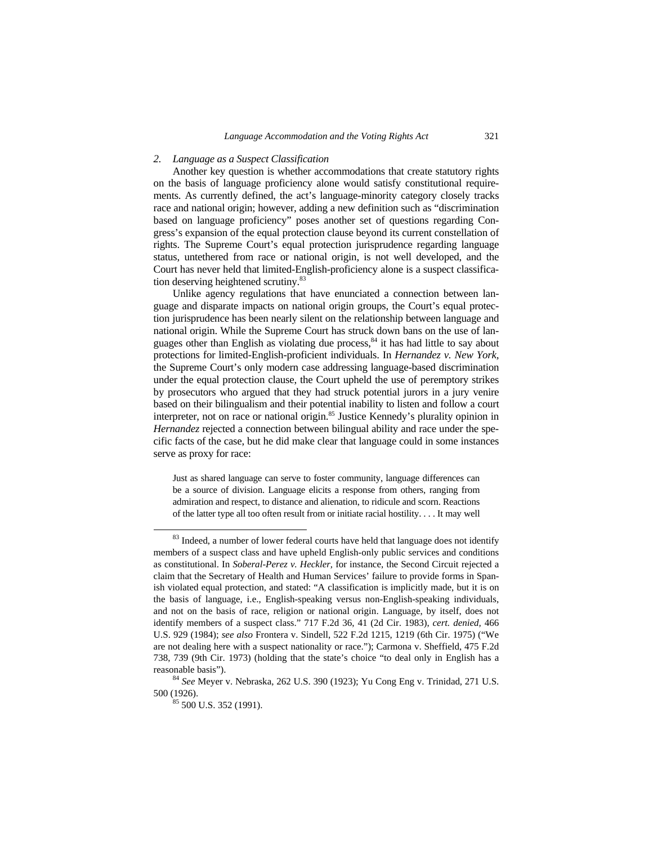#### *2. Language as a Suspect Classification*

Another key question is whether accommodations that create statutory rights on the basis of language proficiency alone would satisfy constitutional requirements. As currently defined, the act's language-minority category closely tracks race and national origin; however, adding a new definition such as "discrimination based on language proficiency" poses another set of questions regarding Congress's expansion of the equal protection clause beyond its current constellation of rights. The Supreme Court's equal protection jurisprudence regarding language status, untethered from race or national origin, is not well developed, and the Court has never held that limited-English-proficiency alone is a suspect classification deserving heightened scrutiny.<sup>83</sup>

Unlike agency regulations that have enunciated a connection between language and disparate impacts on national origin groups, the Court's equal protection jurisprudence has been nearly silent on the relationship between language and national origin. While the Supreme Court has struck down bans on the use of languages other than English as violating due process,<sup>84</sup> it has had little to say about protections for limited-English-proficient individuals. In *Hernandez v. New York,* the Supreme Court's only modern case addressing language-based discrimination under the equal protection clause, the Court upheld the use of peremptory strikes by prosecutors who argued that they had struck potential jurors in a jury venire based on their bilingualism and their potential inability to listen and follow a court interpreter, not on race or national origin.85 Justice Kennedy's plurality opinion in *Hernandez* rejected a connection between bilingual ability and race under the specific facts of the case, but he did make clear that language could in some instances serve as proxy for race:

Just as shared language can serve to foster community, language differences can be a source of division. Language elicits a response from others, ranging from admiration and respect, to distance and alienation, to ridicule and scorn. Reactions of the latter type all too often result from or initiate racial hostility. . . . It may well

<sup>&</sup>lt;sup>83</sup> Indeed, a number of lower federal courts have held that language does not identify members of a suspect class and have upheld English-only public services and conditions as constitutional. In *Soberal-Perez v. Heckler,* for instance, the Second Circuit rejected a claim that the Secretary of Health and Human Services' failure to provide forms in Spanish violated equal protection, and stated: "A classification is implicitly made, but it is on the basis of language, i.e., English-speaking versus non-English-speaking individuals, and not on the basis of race, religion or national origin. Language, by itself, does not identify members of a suspect class." 717 F.2d 36, 41 (2d Cir. 1983), *cert. denied,* 466 U.S. 929 (1984); *see also* Frontera v. Sindell, 522 F.2d 1215, 1219 (6th Cir. 1975) ("We are not dealing here with a suspect nationality or race."); Carmona v. Sheffield, 475 F.2d 738, 739 (9th Cir. 1973) (holding that the state's choice "to deal only in English has a

reasonable basis"). 84 *See* Meyer v. Nebraska, 262 U.S. 390 (1923); Yu Cong Eng v. Trinidad, 271 U.S. 500 (1926).<br><sup>85</sup> 500 U.S. 352 (1991).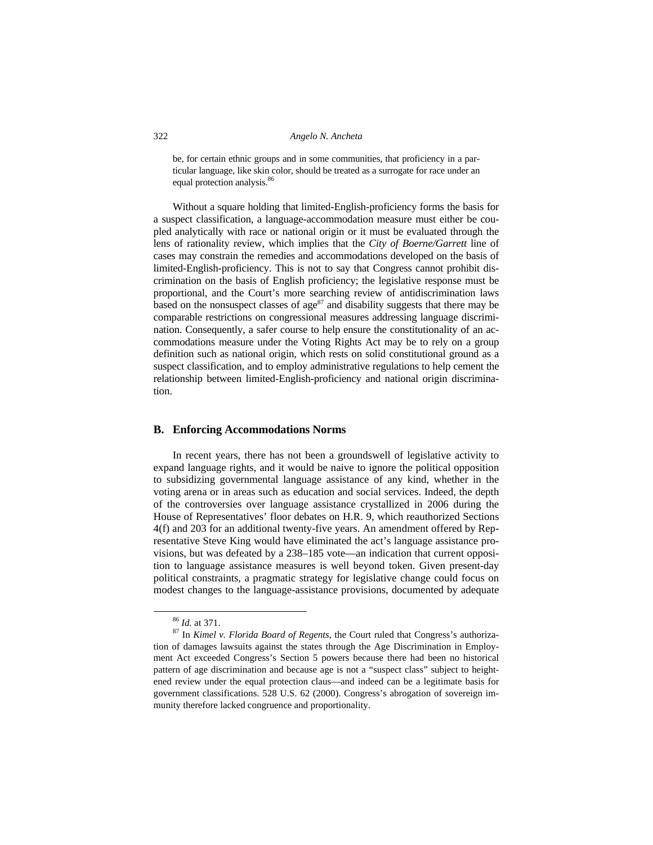be, for certain ethnic groups and in some communities, that proficiency in a particular language, like skin color, should be treated as a surrogate for race under an equal protection analysis.<sup>86</sup>

Without a square holding that limited-English-proficiency forms the basis for a suspect classification, a language-accommodation measure must either be coupled analytically with race or national origin or it must be evaluated through the lens of rationality review, which implies that the *City of Boerne/Garrett* line of cases may constrain the remedies and accommodations developed on the basis of limited-English-proficiency. This is not to say that Congress cannot prohibit discrimination on the basis of English proficiency; the legislative response must be proportional, and the Court's more searching review of antidiscrimination laws based on the nonsuspect classes of age<sup>87</sup> and disability suggests that there may be comparable restrictions on congressional measures addressing language discrimination. Consequently, a safer course to help ensure the constitutionality of an accommodations measure under the Voting Rights Act may be to rely on a group definition such as national origin, which rests on solid constitutional ground as a suspect classification, and to employ administrative regulations to help cement the relationship between limited-English-proficiency and national origin discrimination.

# **B. Enforcing Accommodations Norms**

In recent years, there has not been a groundswell of legislative activity to expand language rights, and it would be naive to ignore the political opposition to subsidizing governmental language assistance of any kind, whether in the voting arena or in areas such as education and social services. Indeed, the depth of the controversies over language assistance crystallized in 2006 during the House of Representatives' floor debates on H.R. 9, which reauthorized Sections 4(f) and 203 for an additional twenty-five years. An amendment offered by Representative Steve King would have eliminated the act's language assistance provisions, but was defeated by a 238–185 vote—an indication that current opposition to language assistance measures is well beyond token. Given present-day political constraints, a pragmatic strategy for legislative change could focus on modest changes to the language-assistance provisions, documented by adequate

<sup>&</sup>lt;sup>86</sup> *Id.* at 371.<br><sup>87</sup> In *Kimel v. Florida Board of Regents*, the Court ruled that Congress's authorization of damages lawsuits against the states through the Age Discrimination in Employment Act exceeded Congress's Section 5 powers because there had been no historical pattern of age discrimination and because age is not a "suspect class" subject to heightened review under the equal protection claus—and indeed can be a legitimate basis for government classifications. 528 U.S. 62 (2000). Congress's abrogation of sovereign immunity therefore lacked congruence and proportionality.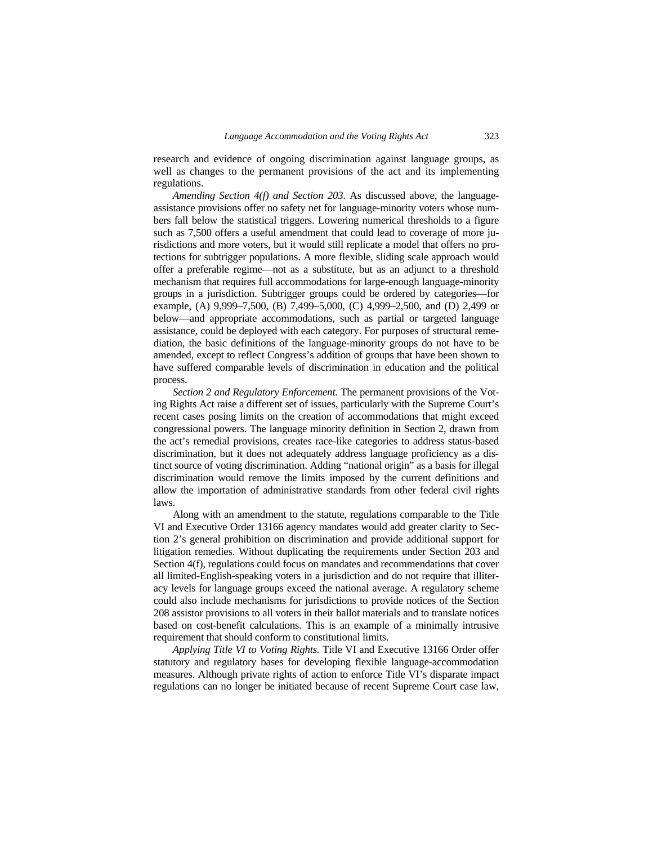research and evidence of ongoing discrimination against language groups, as well as changes to the permanent provisions of the act and its implementing regulations.

*Amending Section 4(f) and Section 203.* As discussed above, the languageassistance provisions offer no safety net for language-minority voters whose numbers fall below the statistical triggers. Lowering numerical thresholds to a figure such as 7,500 offers a useful amendment that could lead to coverage of more jurisdictions and more voters, but it would still replicate a model that offers no protections for subtrigger populations. A more flexible, sliding scale approach would offer a preferable regime—not as a substitute, but as an adjunct to a threshold mechanism that requires full accommodations for large-enough language-minority groups in a jurisdiction. Subtrigger groups could be ordered by categories—for example, (A) 9,999–7,500, (B) 7,499–5,000, (C) 4,999–2,500, and (D) 2,499 or below—and appropriate accommodations, such as partial or targeted language assistance, could be deployed with each category. For purposes of structural remediation, the basic definitions of the language-minority groups do not have to be amended, except to reflect Congress's addition of groups that have been shown to have suffered comparable levels of discrimination in education and the political process.

*Section 2 and Regulatory Enforcement.* The permanent provisions of the Voting Rights Act raise a different set of issues, particularly with the Supreme Court's recent cases posing limits on the creation of accommodations that might exceed congressional powers. The language minority definition in Section 2, drawn from the act's remedial provisions, creates race-like categories to address status-based discrimination, but it does not adequately address language proficiency as a distinct source of voting discrimination. Adding "national origin" as a basis for illegal discrimination would remove the limits imposed by the current definitions and allow the importation of administrative standards from other federal civil rights laws.

Along with an amendment to the statute, regulations comparable to the Title VI and Executive Order 13166 agency mandates would add greater clarity to Section 2's general prohibition on discrimination and provide additional support for litigation remedies. Without duplicating the requirements under Section 203 and Section 4(f), regulations could focus on mandates and recommendations that cover all limited-English-speaking voters in a jurisdiction and do not require that illiteracy levels for language groups exceed the national average. A regulatory scheme could also include mechanisms for jurisdictions to provide notices of the Section 208 assistor provisions to all voters in their ballot materials and to translate notices based on cost-benefit calculations. This is an example of a minimally intrusive requirement that should conform to constitutional limits.

*Applying Title VI to Voting Rights.* Title VI and Executive 13166 Order offer statutory and regulatory bases for developing flexible language-accommodation measures. Although private rights of action to enforce Title VI's disparate impact regulations can no longer be initiated because of recent Supreme Court case law,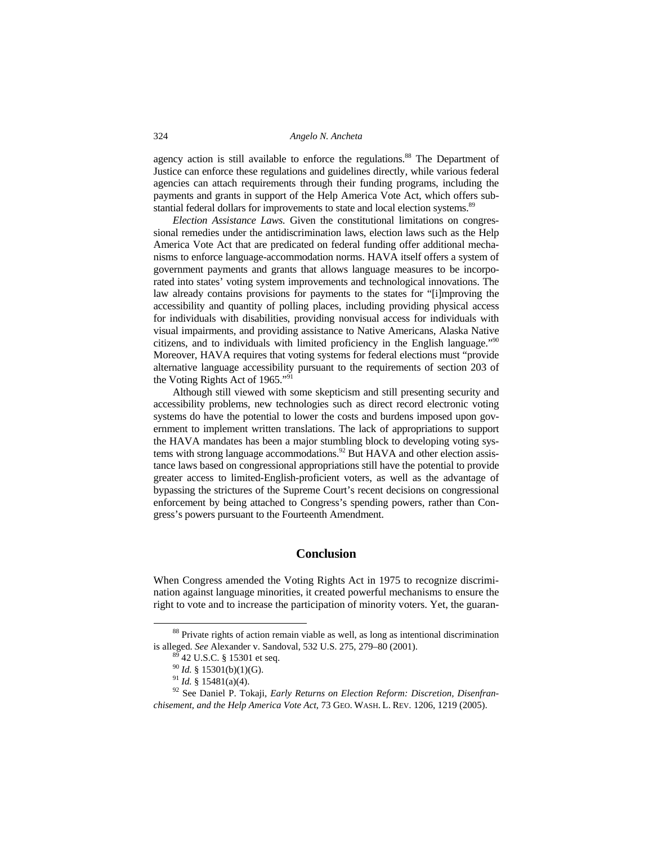agency action is still available to enforce the regulations.<sup>88</sup> The Department of Justice can enforce these regulations and guidelines directly, while various federal agencies can attach requirements through their funding programs, including the payments and grants in support of the Help America Vote Act, which offers substantial federal dollars for improvements to state and local election systems.<sup>89</sup>

*Election Assistance Laws.* Given the constitutional limitations on congressional remedies under the antidiscrimination laws, election laws such as the Help America Vote Act that are predicated on federal funding offer additional mechanisms to enforce language-accommodation norms. HAVA itself offers a system of government payments and grants that allows language measures to be incorporated into states' voting system improvements and technological innovations. The law already contains provisions for payments to the states for "[i]mproving the accessibility and quantity of polling places, including providing physical access for individuals with disabilities, providing nonvisual access for individuals with visual impairments, and providing assistance to Native Americans, Alaska Native citizens, and to individuals with limited proficiency in the English language."90 Moreover, HAVA requires that voting systems for federal elections must "provide alternative language accessibility pursuant to the requirements of section 203 of the Voting Rights Act of 1965."<sup>91</sup>

Although still viewed with some skepticism and still presenting security and accessibility problems, new technologies such as direct record electronic voting systems do have the potential to lower the costs and burdens imposed upon government to implement written translations. The lack of appropriations to support the HAVA mandates has been a major stumbling block to developing voting systems with strong language accommodations.<sup>92</sup> But HAVA and other election assistance laws based on congressional appropriations still have the potential to provide greater access to limited-English-proficient voters, as well as the advantage of bypassing the strictures of the Supreme Court's recent decisions on congressional enforcement by being attached to Congress's spending powers, rather than Congress's powers pursuant to the Fourteenth Amendment.

# **Conclusion**

When Congress amended the Voting Rights Act in 1975 to recognize discrimination against language minorities, it created powerful mechanisms to ensure the right to vote and to increase the participation of minority voters. Yet, the guaran-

<sup>&</sup>lt;sup>88</sup> Private rights of action remain viable as well, as long as intentional discrimination is alleged. *See* Alexander v. Sandoval, 532 U.S. 275, 279–80 (2001).<br><sup>89</sup> 42 U.S.C. § 15301 et seq.<br><sup>90</sup> *Id.* § 15301(b)(1)(G).

<sup>&</sup>lt;sup>91</sup> *Id.* § 15481(a)(4).<br><sup>92</sup> See Daniel P. Tokaji, *Early Returns on Election Reform: Discretion, Disenfranchisement, and the Help America Vote Act*, 73 GEO. WASH. L. REV. 1206, 1219 (2005).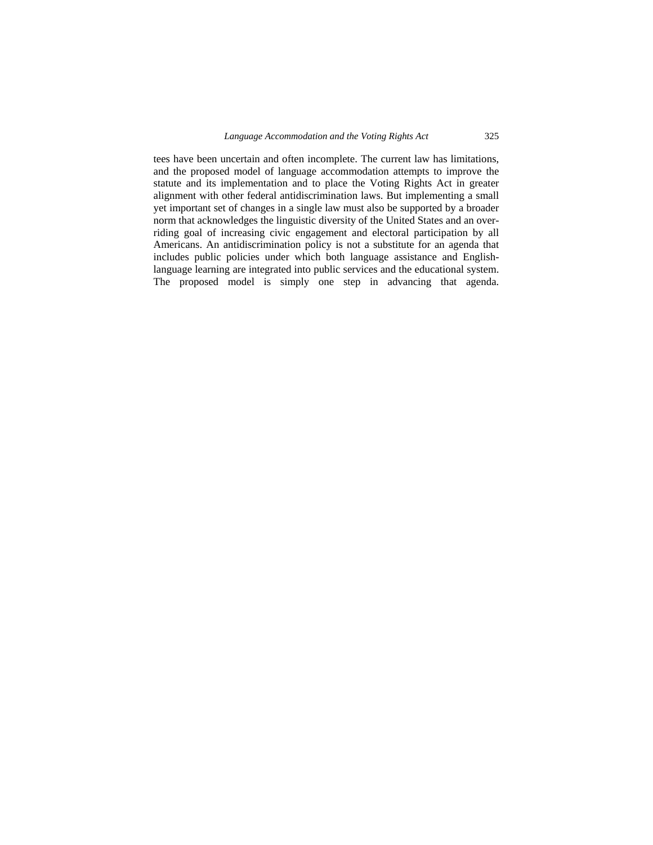tees have been uncertain and often incomplete. The current law has limitations, and the proposed model of language accommodation attempts to improve the statute and its implementation and to place the Voting Rights Act in greater alignment with other federal antidiscrimination laws. But implementing a small yet important set of changes in a single law must also be supported by a broader norm that acknowledges the linguistic diversity of the United States and an overriding goal of increasing civic engagement and electoral participation by all Americans. An antidiscrimination policy is not a substitute for an agenda that includes public policies under which both language assistance and Englishlanguage learning are integrated into public services and the educational system. The proposed model is simply one step in advancing that agenda.